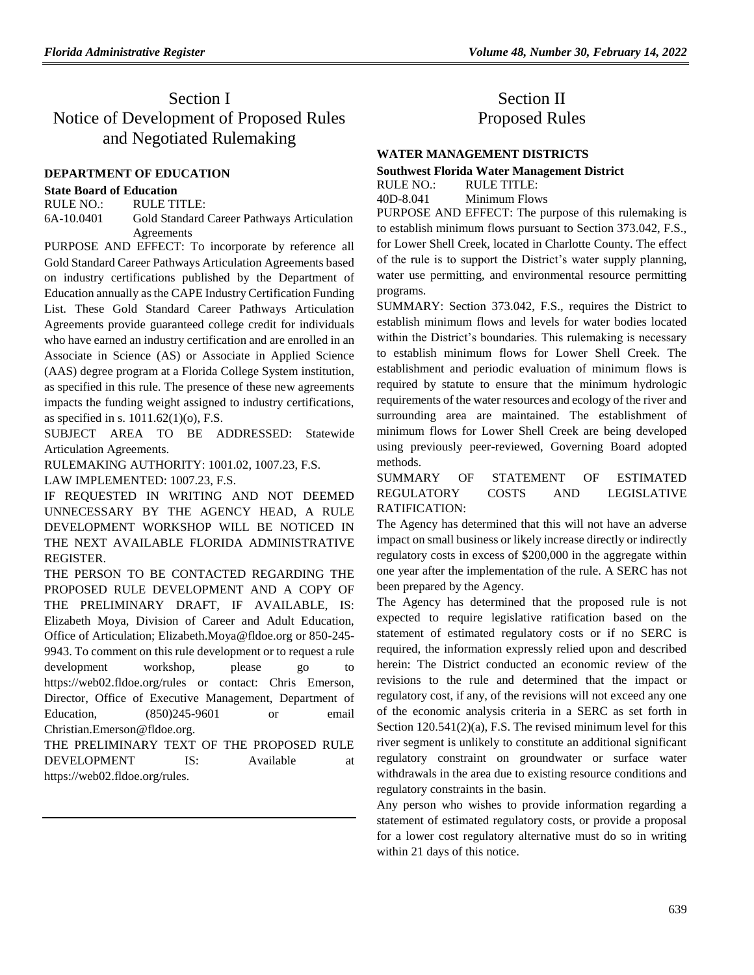# Section I Notice of Development of Proposed Rules and Negotiated Rulemaking

# **[DEPARTMENT OF EDUCATION](https://www.flrules.org/gateway/department.asp?id=6)**

# **[State Board of Education](https://www.flrules.org/gateway/organization.asp?id=195)**

RULE NO.: RULE TITLE: [6A-10.0401](https://www.flrules.org/gateway/ruleNo.asp?id=6A-10.0401) Gold Standard Career Pathways Articulation Agreements

PURPOSE AND EFFECT: To incorporate by reference all Gold Standard Career Pathways Articulation Agreements based on industry certifications published by the Department of Education annually as the CAPE Industry Certification Funding List. These Gold Standard Career Pathways Articulation Agreements provide guaranteed college credit for individuals who have earned an industry certification and are enrolled in an Associate in Science (AS) or Associate in Applied Science (AAS) degree program at a Florida College System institution, as specified in this rule. The presence of these new agreements impacts the funding weight assigned to industry certifications, as specified in s. 1011.62(1)(o), F.S.

SUBJECT AREA TO BE ADDRESSED: Statewide Articulation Agreements.

RULEMAKING AUTHORITY: [1001.02,](https://www.flrules.org/gateway/statute.asp?id=1001.02) [1007.23,](https://www.flrules.org/gateway/statute.asp?id=%201007.23) F.S.

LAW IMPLEMENTED: [1007.23,](https://www.flrules.org/gateway/statute.asp?id=1007.23) F.S.

IF REQUESTED IN WRITING AND NOT DEEMED UNNECESSARY BY THE AGENCY HEAD, A RULE DEVELOPMENT WORKSHOP WILL BE NOTICED IN THE NEXT AVAILABLE FLORIDA ADMINISTRATIVE REGISTER.

THE PERSON TO BE CONTACTED REGARDING THE PROPOSED RULE DEVELOPMENT AND A COPY OF THE PRELIMINARY DRAFT, IF AVAILABLE, IS: Elizabeth Moya, Division of Career and Adult Education, Office of Articulation; Elizabeth.Moya@fldoe.org or 850-245- 9943. To comment on this rule development or to request a rule development workshop, please go to https://web02.fldoe.org/rules or contact: Chris Emerson, Director, Office of Executive Management, Department of Education, (850)245-9601 or email Christian.Emerson@fldoe.org.

THE PRELIMINARY TEXT OF THE PROPOSED RULE DEVELOPMENT IS: Available at https://web02.fldoe.org/rules.

# Section II Proposed Rules

## **[WATER MANAGEMENT DISTRICTS](https://www.flrules.org/gateway/department.asp?id=40)**

# **[Southwest Florida Water Management District](https://www.flrules.org/gateway/organization.asp?id=123)**

RULE NO.: RULE TITLE: [40D-8.041](https://www.flrules.org/gateway/ruleNo.asp?id=40D-8.041) Minimum Flows

PURPOSE AND EFFECT: The purpose of this rulemaking is to establish minimum flows pursuant to Section 373.042, F.S., for Lower Shell Creek, located in Charlotte County. The effect of the rule is to support the District's water supply planning, water use permitting, and environmental resource permitting programs.

SUMMARY: Section 373.042, F.S., requires the District to establish minimum flows and levels for water bodies located within the District's boundaries. This rulemaking is necessary to establish minimum flows for Lower Shell Creek. The establishment and periodic evaluation of minimum flows is required by statute to ensure that the minimum hydrologic requirements of the water resources and ecology of the river and surrounding area are maintained. The establishment of minimum flows for Lower Shell Creek are being developed using previously peer-reviewed, Governing Board adopted methods.

# SUMMARY OF STATEMENT OF ESTIMATED REGULATORY COSTS AND LEGISLATIVE RATIFICATION:

The Agency has determined that this will not have an adverse impact on small business or likely increase directly or indirectly regulatory costs in excess of \$200,000 in the aggregate within one year after the implementation of the rule. A SERC has not been prepared by the Agency.

The Agency has determined that the proposed rule is not expected to require legislative ratification based on the statement of estimated regulatory costs or if no SERC is required, the information expressly relied upon and described herein: The District conducted an economic review of the revisions to the rule and determined that the impact or regulatory cost, if any, of the revisions will not exceed any one of the economic analysis criteria in a SERC as set forth in Section 120.541(2)(a), F.S. The revised minimum level for this river segment is unlikely to constitute an additional significant regulatory constraint on groundwater or surface water withdrawals in the area due to existing resource conditions and regulatory constraints in the basin.

Any person who wishes to provide information regarding a statement of estimated regulatory costs, or provide a proposal for a lower cost regulatory alternative must do so in writing within 21 days of this notice.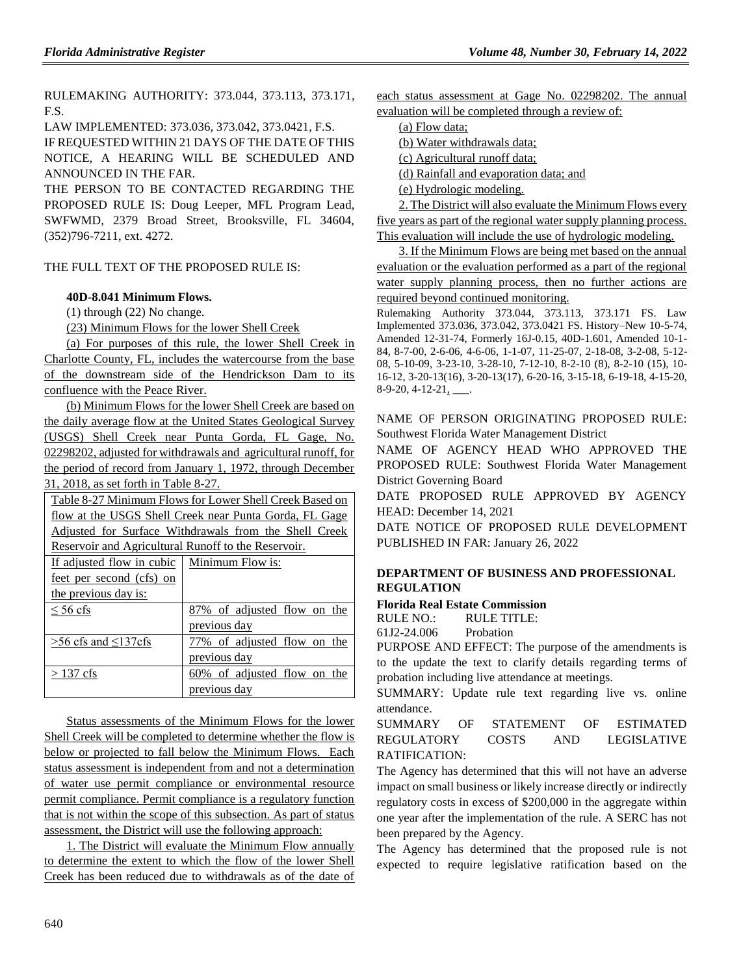RULEMAKING AUTHORITY: [373.044,](https://www.flrules.org/gateway/statute.asp?id=373.044) [373.113,](https://www.flrules.org/gateway/statute.asp?id=%20373.113) [373.171,](https://www.flrules.org/gateway/statute.asp?id=%20373.171) F.S.

LAW IMPLEMENTED: [373.036,](https://www.flrules.org/gateway/statute.asp?id=373.036) [373.042,](https://www.flrules.org/gateway/statute.asp?id=%20373.042) [373.0421,](https://www.flrules.org/gateway/statute.asp?id=%20373.0421) F.S.

IF REQUESTED WITHIN 21 DAYS OF THE DATE OF THIS NOTICE, A HEARING WILL BE SCHEDULED AND ANNOUNCED IN THE FAR.

THE PERSON TO BE CONTACTED REGARDING THE PROPOSED RULE IS: Doug Leeper, MFL Program Lead, SWFWMD, 2379 Broad Street, Brooksville, FL 34604, (352)796-7211, ext. 4272.

# THE FULL TEXT OF THE PROPOSED RULE IS:

# **40D-8.041 Minimum Flows.**

(1) through (22) No change.

(23) Minimum Flows for the lower Shell Creek

(a) For purposes of this rule, the lower Shell Creek in Charlotte County, FL, includes the watercourse from the base of the downstream side of the Hendrickson Dam to its confluence with the Peace River.

(b) Minimum Flows for the lower Shell Creek are based on the daily average flow at the United States Geological Survey (USGS) Shell Creek near Punta Gorda, FL Gage, No. 02298202, adjusted for withdrawals and agricultural runoff, for the period of record from January 1, 1972, through December 31, 2018, as set forth in Table 8-27.

| Table 8-27 Minimum Flows for Lower Shell Creek Based on |                                |  |
|---------------------------------------------------------|--------------------------------|--|
| flow at the USGS Shell Creek near Punta Gorda, FL Gage  |                                |  |
| Adjusted for Surface Withdrawals from the Shell Creek   |                                |  |
| Reservoir and Agricultural Runoff to the Reservoir.     |                                |  |
| If adjusted flow in cubic                               | Minimum Flow is:               |  |
| feet per second (cfs) on                                |                                |  |
| the previous day is:                                    |                                |  |
| $\leq 56$ cfs                                           | 87% of adjusted flow on the    |  |
|                                                         | previous day                   |  |
| $>56$ cfs and $\leq$ 137 cfs                            | 77% of adjusted flow on the    |  |
|                                                         | previous day                   |  |
| $>$ 137 cfs                                             | 60% of adjusted flow on<br>the |  |

Status assessments of the Minimum Flows for the lower Shell Creek will be completed to determine whether the flow is below or projected to fall below the Minimum Flows. Each status assessment is independent from and not a determination of water use permit compliance or environmental resource permit compliance. Permit compliance is a regulatory function that is not within the scope of this subsection. As part of status assessment, the District will use the following approach:

previous day

1. The District will evaluate the Minimum Flow annually to determine the extent to which the flow of the lower Shell Creek has been reduced due to withdrawals as of the date of each status assessment at Gage No. 02298202. The annual evaluation will be completed through a review of:

(a) Flow data;

(b) Water withdrawals data;

(c) Agricultural runoff data;

(d) Rainfall and evaporation data; and

(e) Hydrologic modeling.

2. The District will also evaluate the Minimum Flows every five years as part of the regional water supply planning process. This evaluation will include the use of hydrologic modeling.

3. If the Minimum Flows are being met based on the annual evaluation or the evaluation performed as a part of the regional water supply planning process, then no further actions are required beyond continued monitoring.

Rulemaking Authority 373.044, 373.113, 373.171 FS. Law Implemented 373.036, 373.042, 373.0421 FS. History–New 10-5-74, Amended 12-31-74, Formerly 16J-0.15, 40D-1.601, Amended 10-1- 84, 8-7-00, 2-6-06, 4-6-06, 1-1-07, 11-25-07, 2-18-08, 3-2-08, 5-12- 08, 5-10-09, 3-23-10, 3-28-10, 7-12-10, 8-2-10 (8), 8-2-10 (15), 10- 16-12, 3-20-13(16), 3-20-13(17), 6-20-16, 3-15-18, 6-19-18, 4-15-20, 8-9-20, 4-12-21, \_\_\_.

NAME OF PERSON ORIGINATING PROPOSED RULE: Southwest Florida Water Management District

NAME OF AGENCY HEAD WHO APPROVED THE PROPOSED RULE: Southwest Florida Water Management District Governing Board

DATE PROPOSED RULE APPROVED BY AGENCY HEAD: December 14, 2021

DATE NOTICE OF PROPOSED RULE DEVELOPMENT PUBLISHED IN FAR: January 26, 2022

# **[DEPARTMENT OF BUSINESS AND PROFESSIONAL](https://www.flrules.org/gateway/department.asp?id=61)  [REGULATION](https://www.flrules.org/gateway/department.asp?id=61)**

# **[Florida Real Estate Commission](https://www.flrules.org/gateway/organization.asp?id=283)**

RULE NO.: RULE TITLE:

[61J2-24.006](https://www.flrules.org/gateway/ruleNo.asp?id=61J2-24.006) Probation

PURPOSE AND EFFECT: The purpose of the amendments is to the update the text to clarify details regarding terms of probation including live attendance at meetings.

SUMMARY: Update rule text regarding live vs. online attendance.

SUMMARY OF STATEMENT OF ESTIMATED REGULATORY COSTS AND LEGISLATIVE RATIFICATION:

The Agency has determined that this will not have an adverse impact on small business or likely increase directly or indirectly regulatory costs in excess of \$200,000 in the aggregate within one year after the implementation of the rule. A SERC has not been prepared by the Agency.

The Agency has determined that the proposed rule is not expected to require legislative ratification based on the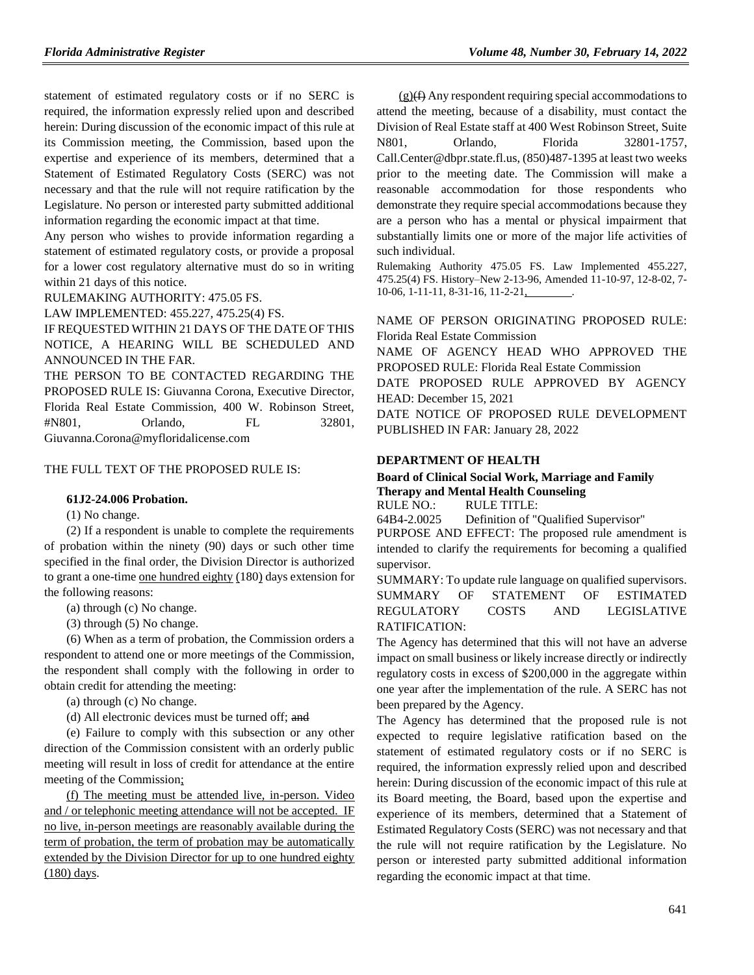statement of estimated regulatory costs or if no SERC is required, the information expressly relied upon and described herein: During discussion of the economic impact of this rule at its Commission meeting, the Commission, based upon the expertise and experience of its members, determined that a Statement of Estimated Regulatory Costs (SERC) was not necessary and that the rule will not require ratification by the Legislature. No person or interested party submitted additional information regarding the economic impact at that time.

Any person who wishes to provide information regarding a statement of estimated regulatory costs, or provide a proposal for a lower cost regulatory alternative must do so in writing within 21 days of this notice.

RULEMAKING AUTHORITY: [475.05 FS.](https://www.flrules.org/gateway/statute.asp?id=475.05%20FS.)

LAW IMPLEMENTED: [455.227,](https://www.flrules.org/gateway/statute.asp?id=455.227) [475.25\(4\) FS.](https://www.flrules.org/gateway/statute.asp?id=%20475.25(4)%20FS.)

IF REQUESTED WITHIN 21 DAYS OF THE DATE OF THIS NOTICE, A HEARING WILL BE SCHEDULED AND ANNOUNCED IN THE FAR.

THE PERSON TO BE CONTACTED REGARDING THE PROPOSED RULE IS: Giuvanna Corona, Executive Director, Florida Real Estate Commission, 400 W. Robinson Street, #N801, Orlando, FL 32801, Giuvanna.Corona@myfloridalicense.com

THE FULL TEXT OF THE PROPOSED RULE IS:

#### **61J2-24.006 Probation.**

(1) No change.

(2) If a respondent is unable to complete the requirements of probation within the ninety (90) days or such other time specified in the final order, the Division Director is authorized to grant a one-time one hundred eighty (180) days extension for the following reasons:

(a) through (c) No change.

(3) through (5) No change.

(6) When as a term of probation, the Commission orders a respondent to attend one or more meetings of the Commission, the respondent shall comply with the following in order to obtain credit for attending the meeting:

(a) through (c) No change.

(d) All electronic devices must be turned off; and

(e) Failure to comply with this subsection or any other direction of the Commission consistent with an orderly public meeting will result in loss of credit for attendance at the entire meeting of the Commission;

(f) The meeting must be attended live, in-person. Video and / or telephonic meeting attendance will not be accepted. IF no live, in-person meetings are reasonably available during the term of probation, the term of probation may be automatically extended by the Division Director for up to one hundred eighty (180) days.

 $(g)(f)$  Any respondent requiring special accommodations to attend the meeting, because of a disability, must contact the Division of Real Estate staff at 400 West Robinson Street, Suite N801, Orlando, Florida 32801-1757, Call.Center@dbpr.state.fl.us, (850)487-1395 at least two weeks prior to the meeting date. The Commission will make a reasonable accommodation for those respondents who demonstrate they require special accommodations because they are a person who has a mental or physical impairment that substantially limits one or more of the major life activities of such individual.

Rulemaking Authority 475.05 FS. Law Implemented 455.227, 475.25(4) FS. History–New 2-13-96, Amended 11-10-97, 12-8-02, 7- 10-06, 1-11-11, 8-31-16, 11-2-21,

NAME OF PERSON ORIGINATING PROPOSED RULE: Florida Real Estate Commission

NAME OF AGENCY HEAD WHO APPROVED THE PROPOSED RULE: Florida Real Estate Commission DATE PROPOSED RULE APPROVED BY AGENCY

HEAD: December 15, 2021 DATE NOTICE OF PROPOSED RULE DEVELOPMENT PUBLISHED IN FAR: January 28, 2022

#### **[DEPARTMENT OF HEALTH](https://www.flrules.org/gateway/department.asp?id=64)**

#### **[Board of Clinical Social Work, Marriage and Family](https://www.flrules.org/gateway/organization.asp?id=327)  [Therapy and Mental Health Counseling](https://www.flrules.org/gateway/organization.asp?id=327)** RULE NO.: RULE TITLE:

[64B4-2.0025](https://www.flrules.org/gateway/ruleNo.asp?id=64B4-2.0025) Definition of "Qualified Supervisor"

PURPOSE AND EFFECT: The proposed rule amendment is intended to clarify the requirements for becoming a qualified supervisor.

SUMMARY: To update rule language on qualified supervisors. SUMMARY OF STATEMENT OF ESTIMATED REGULATORY COSTS AND LEGISLATIVE RATIFICATION:

The Agency has determined that this will not have an adverse impact on small business or likely increase directly or indirectly regulatory costs in excess of \$200,000 in the aggregate within one year after the implementation of the rule. A SERC has not been prepared by the Agency.

The Agency has determined that the proposed rule is not expected to require legislative ratification based on the statement of estimated regulatory costs or if no SERC is required, the information expressly relied upon and described herein: During discussion of the economic impact of this rule at its Board meeting, the Board, based upon the expertise and experience of its members, determined that a Statement of Estimated Regulatory Costs (SERC) was not necessary and that the rule will not require ratification by the Legislature. No person or interested party submitted additional information regarding the economic impact at that time.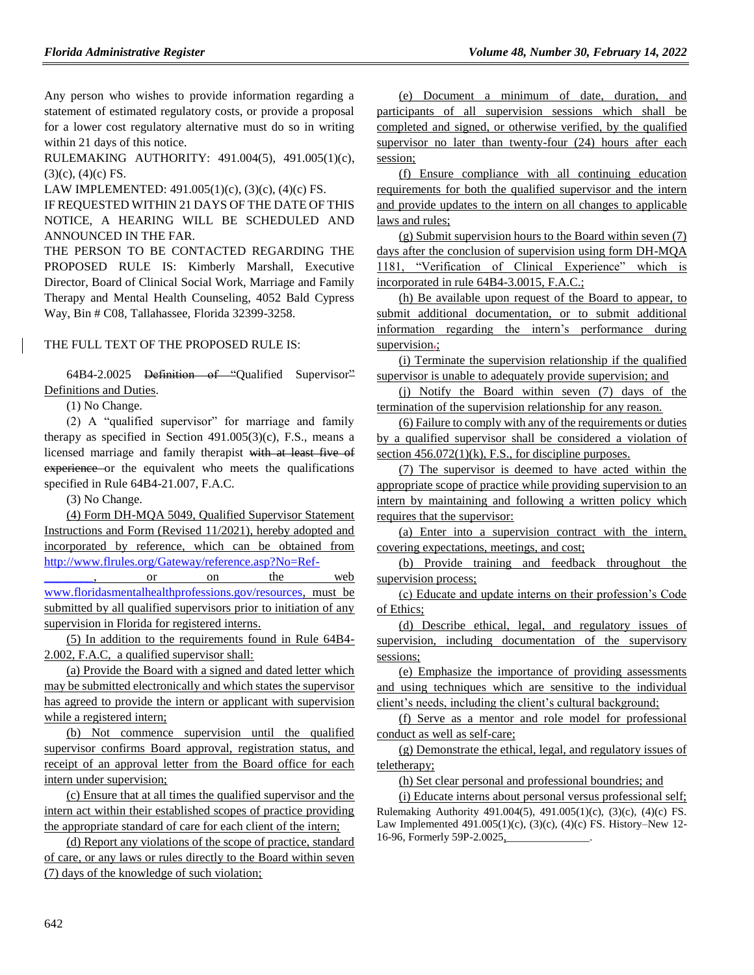Any person who wishes to provide information regarding a statement of estimated regulatory costs, or provide a proposal for a lower cost regulatory alternative must do so in writing within 21 days of this notice.

RULEMAKING AUTHORITY: [491.004\(5\),](https://www.flrules.org/gateway/statute.asp?id=491.004(5)) [491.005\(1\)\(c\),](https://www.flrules.org/gateway/statute.asp?id=%20491.005(1)(c))  $(3)(c)$ ,  $(4)(c)$  FS.

LAW IMPLEMENTED: [491.005\(1\)\(c\),](https://www.flrules.org/gateway/statute.asp?id=491.005(1)(c)) (3)(c), (4)(c) FS.

IF REQUESTED WITHIN 21 DAYS OF THE DATE OF THIS NOTICE, A HEARING WILL BE SCHEDULED AND ANNOUNCED IN THE FAR.

THE PERSON TO BE CONTACTED REGARDING THE PROPOSED RULE IS: Kimberly Marshall, Executive Director, Board of Clinical Social Work, Marriage and Family Therapy and Mental Health Counseling, 4052 Bald Cypress Way, Bin # C08, Tallahassee, Florida 32399-3258.

## THE FULL TEXT OF THE PROPOSED RULE IS:

64B4-2.0025 Definition of "Qualified Supervisor" Definitions and Duties.

(1) No Change.

(2) A "qualified supervisor" for marriage and family therapy as specified in Section  $491.005(3)(c)$ , F.S., means a licensed marriage and family therapist with at least five of experience or the equivalent who meets the qualifications specified in Rule 64B4-21.007, F.A.C.

(3) No Change.

(4) Form DH-MQA 5049, Qualified Supervisor Statement Instructions and Form (Revised 11/2021), hereby adopted and incorporated by reference, which can be obtained from [http://www.flrules.org/Gateway/reference.asp?No=Ref-](https://www.flrules.org/Gateway/reference.asp?No=Ref-________)

 $\overline{\phantom{a}}$ , or on the web [www.floridasmentalhealthprofessions.gov/resources,](http://www.floridasmentalhealthprofessions.gov/resources) must be submitted by all qualified supervisors prior to initiation of any supervision in Florida for registered interns.

(5) In addition to the requirements found in Rule 64B4- 2.002, F.A.C, a qualified supervisor shall:

(a) Provide the Board with a signed and dated letter which may be submitted electronically and which states the supervisor has agreed to provide the intern or applicant with supervision while a registered intern;

(b) Not commence supervision until the qualified supervisor confirms Board approval, registration status, and receipt of an approval letter from the Board office for each intern under supervision;

(c) Ensure that at all times the qualified supervisor and the intern act within their established scopes of practice providing the appropriate standard of care for each client of the intern;

(d) Report any violations of the scope of practice, standard of care, or any laws or rules directly to the Board within seven (7) days of the knowledge of such violation;

(e) Document a minimum of date, duration, and participants of all supervision sessions which shall be completed and signed, or otherwise verified, by the qualified supervisor no later than twenty-four  $(24)$  hours after each session;

(f) Ensure compliance with all continuing education requirements for both the qualified supervisor and the intern and provide updates to the intern on all changes to applicable laws and rules;

(g) Submit supervision hours to the Board within seven (7) days after the conclusion of supervision using form DH-MQA 1181, "Verification of Clinical Experience" which is incorporated in rule 64B4-3.0015, F.A.C.;

(h) Be available upon request of the Board to appear, to submit additional documentation, or to submit additional information regarding the intern's performance during supervision.;

(i) Terminate the supervision relationship if the qualified supervisor is unable to adequately provide supervision; and

(j) Notify the Board within seven (7) days of the termination of the supervision relationship for any reason.

(6) Failure to comply with any of the requirements or duties by a qualified supervisor shall be considered a violation of section  $456.072(1)(k)$ , F.S., for discipline purposes.

(7) The supervisor is deemed to have acted within the appropriate scope of practice while providing supervision to an intern by maintaining and following a written policy which requires that the supervisor:

(a) Enter into a supervision contract with the intern, covering expectations, meetings, and cost;

(b) Provide training and feedback throughout the supervision process;

(c) Educate and update interns on their profession's Code of Ethics;

(d) Describe ethical, legal, and regulatory issues of supervision, including documentation of the supervisory sessions;

(e) Emphasize the importance of providing assessments and using techniques which are sensitive to the individual client's needs, including the client's cultural background;

(f) Serve as a mentor and role model for professional conduct as well as self-care;

(g) Demonstrate the ethical, legal, and regulatory issues of teletherapy;

(h) Set clear personal and professional boundries; and

(i) Educate interns about personal versus professional self; Rulemaking Authority 491.004(5), 491.005(1)(c), (3)(c), (4)(c) FS. Law Implemented 491.005(1)(c), (3)(c), (4)(c) FS. History–New 12- 16-96, Formerly 59P-2.0025,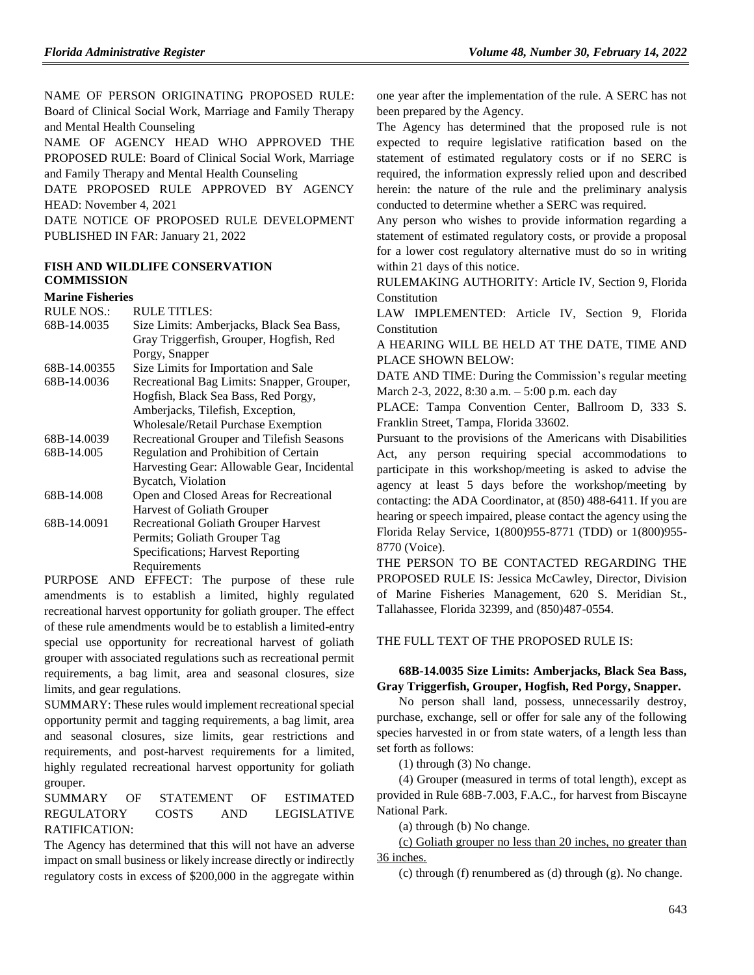NAME OF PERSON ORIGINATING PROPOSED RULE: Board of Clinical Social Work, Marriage and Family Therapy and Mental Health Counseling

NAME OF AGENCY HEAD WHO APPROVED THE PROPOSED RULE: Board of Clinical Social Work, Marriage and Family Therapy and Mental Health Counseling

DATE PROPOSED RULE APPROVED BY AGENCY HEAD: November 4, 2021

DATE NOTICE OF PROPOSED RULE DEVELOPMENT PUBLISHED IN FAR: January 21, 2022

# **[FISH AND WILDLIFE CONSERVATION](https://www.flrules.org/gateway/department.asp?id=68)  [COMMISSION](https://www.flrules.org/gateway/department.asp?id=68)**

#### **[Marine Fisheries](https://www.flrules.org/gateway/organization.asp?id=348)**

| <b>RULE NOS.:</b> | <b>RULE TITLES:</b>                         |
|-------------------|---------------------------------------------|
| 68B-14.0035       | Size Limits: Amberjacks, Black Sea Bass,    |
|                   | Gray Triggerfish, Grouper, Hogfish, Red     |
|                   | Porgy, Snapper                              |
| 68B-14.00355      | Size Limits for Importation and Sale        |
| 68B-14.0036       | Recreational Bag Limits: Snapper, Grouper,  |
|                   | Hogfish, Black Sea Bass, Red Porgy,         |
|                   | Amberjacks, Tilefish, Exception,            |
|                   | Wholesale/Retail Purchase Exemption         |
| 68B-14.0039       | Recreational Grouper and Tilefish Seasons   |
| 68B-14.005        | Regulation and Prohibition of Certain       |
|                   | Harvesting Gear: Allowable Gear, Incidental |
|                   | Bycatch, Violation                          |
| 68B-14.008        | Open and Closed Areas for Recreational      |
|                   | Harvest of Goliath Grouper                  |
| 68B-14.0091       | Recreational Goliath Grouper Harvest        |
|                   | Permits; Goliath Grouper Tag                |
|                   | Specifications; Harvest Reporting           |
|                   | Requirements                                |
|                   |                                             |

PURPOSE AND EFFECT: The purpose of these rule amendments is to establish a limited, highly regulated recreational harvest opportunity for goliath grouper. The effect of these rule amendments would be to establish a limited-entry special use opportunity for recreational harvest of goliath grouper with associated regulations such as recreational permit requirements, a bag limit, area and seasonal closures, size limits, and gear regulations.

SUMMARY: These rules would implement recreational special opportunity permit and tagging requirements, a bag limit, area and seasonal closures, size limits, gear restrictions and requirements, and post-harvest requirements for a limited, highly regulated recreational harvest opportunity for goliath grouper.

SUMMARY OF STATEMENT OF ESTIMATED REGULATORY COSTS AND LEGISLATIVE RATIFICATION:

The Agency has determined that this will not have an adverse impact on small business or likely increase directly or indirectly regulatory costs in excess of \$200,000 in the aggregate within one year after the implementation of the rule. A SERC has not been prepared by the Agency.

The Agency has determined that the proposed rule is not expected to require legislative ratification based on the statement of estimated regulatory costs or if no SERC is required, the information expressly relied upon and described herein: the nature of the rule and the preliminary analysis conducted to determine whether a SERC was required.

Any person who wishes to provide information regarding a statement of estimated regulatory costs, or provide a proposal for a lower cost regulatory alternative must do so in writing within 21 days of this notice.

RULEMAKING AUTHORITY: [Article IV, Section 9, Florida](https://www.flrules.org/gateway/flconstitution.asp?id=Article%20IV,%20Section%209,%20Florida%20Constitution)  [Constitution](https://www.flrules.org/gateway/flconstitution.asp?id=Article%20IV,%20Section%209,%20Florida%20Constitution)

LAW IMPLEMENTED: [Article IV, Section 9, Florida](https://www.flrules.org/gateway/flconstitution.asp?id=Article%20IV,%20Section%209,%20Florida%20Constitution)  **[Constitution](https://www.flrules.org/gateway/flconstitution.asp?id=Article%20IV,%20Section%209,%20Florida%20Constitution)** 

A HEARING WILL BE HELD AT THE DATE, TIME AND PLACE SHOWN BELOW:

DATE AND TIME: During the Commission's regular meeting March 2-3, 2022, 8:30 a.m. – 5:00 p.m. each day

PLACE: Tampa Convention Center, Ballroom D, 333 S. Franklin Street, Tampa, Florida 33602.

Pursuant to the provisions of the Americans with Disabilities Act, any person requiring special accommodations to participate in this workshop/meeting is asked to advise the agency at least 5 days before the workshop/meeting by contacting: the ADA Coordinator, at (850) 488-6411. If you are hearing or speech impaired, please contact the agency using the Florida Relay Service, 1(800)955-8771 (TDD) or 1(800)955- 8770 (Voice).

THE PERSON TO BE CONTACTED REGARDING THE PROPOSED RULE IS: Jessica McCawley, Director, Division of Marine Fisheries Management, 620 S. Meridian St., Tallahassee, Florida 32399, and (850)487-0554.

THE FULL TEXT OF THE PROPOSED RULE IS:

### **68B-14.0035 Size Limits: Amberjacks, Black Sea Bass, Gray Triggerfish, Grouper, Hogfish, Red Porgy, Snapper.**

No person shall land, possess, unnecessarily destroy, purchase, exchange, sell or offer for sale any of the following species harvested in or from state waters, of a length less than set forth as follows:

(1) through (3) No change.

(4) Grouper (measured in terms of total length), except as provided in Rule 68B-7.003, F.A.C., for harvest from Biscayne National Park.

(a) through (b) No change.

(c) Goliath grouper no less than 20 inches, no greater than 36 inches.

(c) through (f) renumbered as (d) through (g). No change.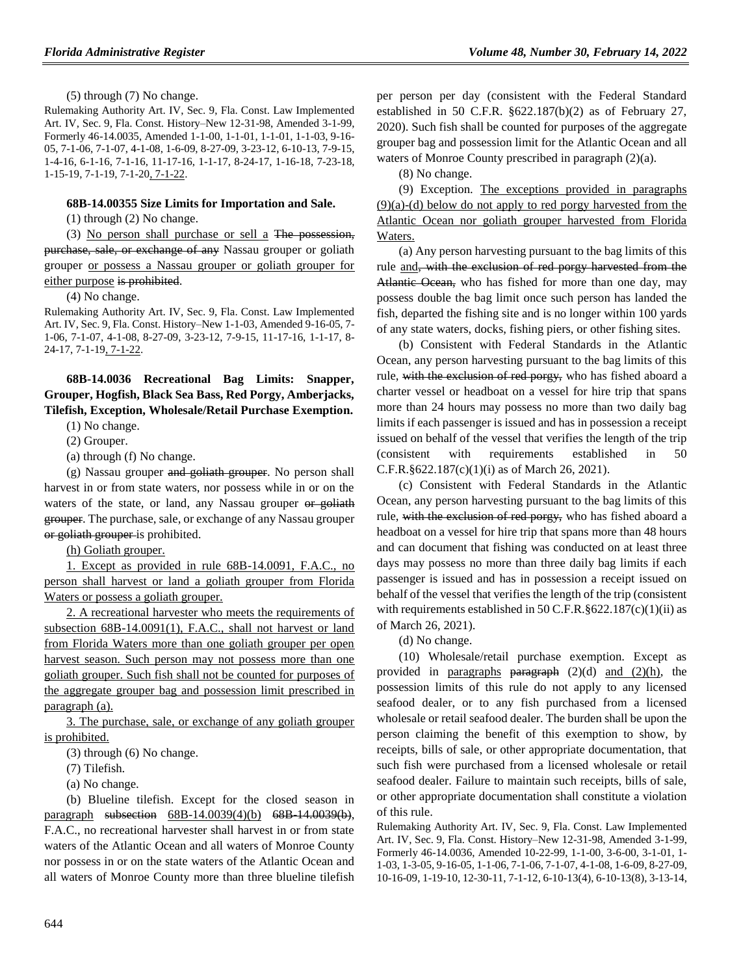(5) through (7) No change.

Rulemaking Authority Art. IV, Sec. 9, Fla. Const. Law Implemented Art. IV, Sec. 9, Fla. Const. History–New 12-31-98, Amended 3-1-99, Formerly 46-14.0035, Amended 1-1-00, 1-1-01, 1-1-01, 1-1-03, 9-16- 05, 7-1-06, 7-1-07, 4-1-08, 1-6-09, 8-27-09, 3-23-12, 6-10-13, 7-9-15, 1-4-16, 6-1-16, 7-1-16, 11-17-16, 1-1-17, 8-24-17, 1-16-18, 7-23-18, 1-15-19, 7-1-19, 7-1-20, 7-1-22.

#### **68B-14.00355 Size Limits for Importation and Sale.**

(1) through (2) No change.

(3) No person shall purchase or sell a The possession, purchase, sale, or exchange of any Nassau grouper or goliath grouper or possess a Nassau grouper or goliath grouper for either purpose is prohibited.

(4) No change.

Rulemaking Authority Art. IV, Sec. 9, Fla. Const. Law Implemented Art. IV, Sec. 9, Fla. Const. History–New 1-1-03, Amended 9-16-05, 7- 1-06, 7-1-07, 4-1-08, 8-27-09, 3-23-12, 7-9-15, 11-17-16, 1-1-17, 8- 24-17, 7-1-19, 7-1-22.

**68B-14.0036 Recreational Bag Limits: Snapper, Grouper, Hogfish, Black Sea Bass, Red Porgy, Amberjacks, Tilefish, Exception, Wholesale/Retail Purchase Exemption.**

(1) No change.

(2) Grouper.

(a) through (f) No change.

(g) Nassau grouper and goliath grouper. No person shall harvest in or from state waters, nor possess while in or on the waters of the state, or land, any Nassau grouper or goliath grouper. The purchase, sale, or exchange of any Nassau grouper or goliath grouper is prohibited.

(h) Goliath grouper.

1. Except as provided in rule 68B-14.0091, F.A.C., no person shall harvest or land a goliath grouper from Florida Waters or possess a goliath grouper.

2. A recreational harvester who meets the requirements of subsection 68B-14.0091(1), F.A.C., shall not harvest or land from Florida Waters more than one goliath grouper per open harvest season. Such person may not possess more than one goliath grouper. Such fish shall not be counted for purposes of the aggregate grouper bag and possession limit prescribed in paragraph (a).

3. The purchase, sale, or exchange of any goliath grouper is prohibited.

(3) through (6) No change.

(7) Tilefish.

(a) No change.

(b) Blueline tilefish. Except for the closed season in paragraph subsection 68B-14.0039(4)(b) 68B-14.0039(b), F.A.C., no recreational harvester shall harvest in or from state waters of the Atlantic Ocean and all waters of Monroe County nor possess in or on the state waters of the Atlantic Ocean and all waters of Monroe County more than three blueline tilefish per person per day (consistent with the Federal Standard established in 50 C.F.R. §622.187(b)(2) as of February 27, 2020). Such fish shall be counted for purposes of the aggregate grouper bag and possession limit for the Atlantic Ocean and all waters of Monroe County prescribed in paragraph (2)(a).

(8) No change.

(9) Exception. The exceptions provided in paragraphs (9)(a)-(d) below do not apply to red porgy harvested from the Atlantic Ocean nor goliath grouper harvested from Florida Waters.

(a) Any person harvesting pursuant to the bag limits of this rule and, with the exclusion of red porgy harvested from the Atlantic Ocean, who has fished for more than one day, may possess double the bag limit once such person has landed the fish, departed the fishing site and is no longer within 100 yards of any state waters, docks, fishing piers, or other fishing sites.

(b) Consistent with Federal Standards in the Atlantic Ocean, any person harvesting pursuant to the bag limits of this rule, with the exclusion of red porgy, who has fished aboard a charter vessel or headboat on a vessel for hire trip that spans more than 24 hours may possess no more than two daily bag limits if each passenger is issued and has in possession a receipt issued on behalf of the vessel that verifies the length of the trip (consistent with requirements established in 50 C.F.R.§622.187(c)(1)(i) as of March 26, 2021).

(c) Consistent with Federal Standards in the Atlantic Ocean, any person harvesting pursuant to the bag limits of this rule, with the exclusion of red porgy, who has fished aboard a headboat on a vessel for hire trip that spans more than 48 hours and can document that fishing was conducted on at least three days may possess no more than three daily bag limits if each passenger is issued and has in possession a receipt issued on behalf of the vessel that verifies the length of the trip (consistent with requirements established in 50 C.F.R. $§622.187(c)(1)(ii)$  as of March 26, 2021).

(d) No change.

(10) Wholesale/retail purchase exemption. Except as provided in paragraphs  $\overline{a}$  paragraph (2)(d) and (2)(h), the possession limits of this rule do not apply to any licensed seafood dealer, or to any fish purchased from a licensed wholesale or retail seafood dealer. The burden shall be upon the person claiming the benefit of this exemption to show, by receipts, bills of sale, or other appropriate documentation, that such fish were purchased from a licensed wholesale or retail seafood dealer. Failure to maintain such receipts, bills of sale, or other appropriate documentation shall constitute a violation of this rule.

Rulemaking Authority Art. IV, Sec. 9, Fla. Const. Law Implemented Art. IV, Sec. 9, Fla. Const. History–New 12-31-98, Amended 3-1-99, Formerly 46-14.0036, Amended 10-22-99, 1-1-00, 3-6-00, 3-1-01, 1- 1-03, 1-3-05, 9-16-05, 1-1-06, 7-1-06, 7-1-07, 4-1-08, 1-6-09, 8-27-09, 10-16-09, 1-19-10, 12-30-11, 7-1-12, 6-10-13(4), 6-10-13(8), 3-13-14,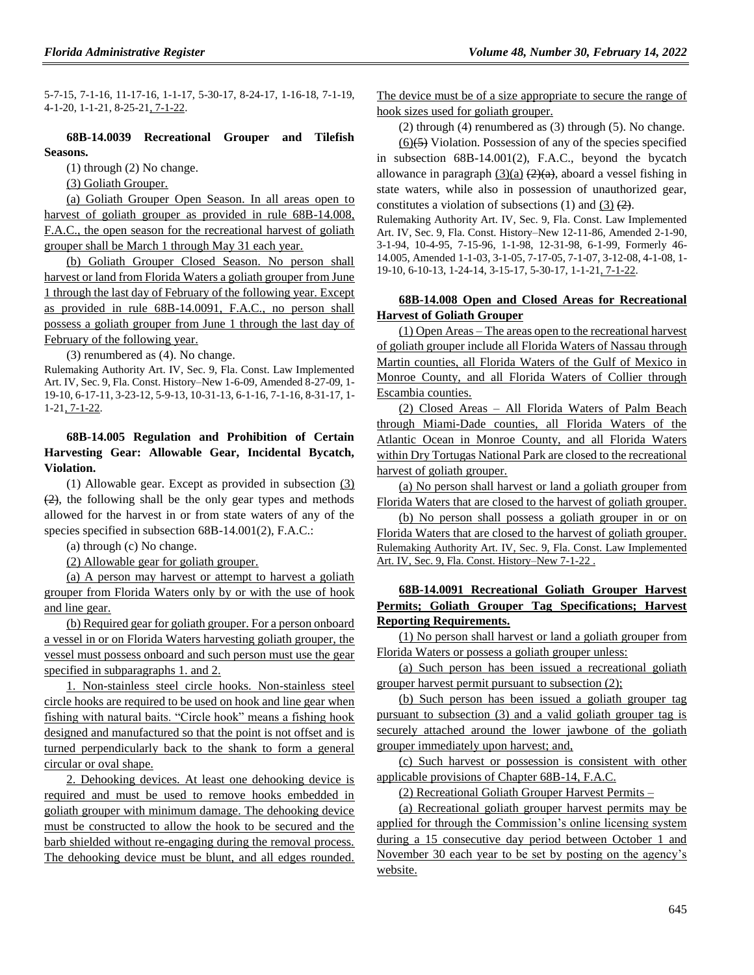5-7-15, 7-1-16, 11-17-16, 1-1-17, 5-30-17, 8-24-17, 1-16-18, 7-1-19, 4-1-20, 1-1-21, 8-25-21, 7-1-22.

### **68B-14.0039 Recreational Grouper and Tilefish Seasons.**

(1) through (2) No change.

(3) Goliath Grouper.

(a) Goliath Grouper Open Season. In all areas open to harvest of goliath grouper as provided in rule 68B-14.008, F.A.C., the open season for the recreational harvest of goliath grouper shall be March 1 through May 31 each year.

(b) Goliath Grouper Closed Season. No person shall harvest or land from Florida Waters a goliath grouper from June 1 through the last day of February of the following year. Except as provided in rule 68B-14.0091, F.A.C., no person shall possess a goliath grouper from June 1 through the last day of February of the following year.

(3) renumbered as (4). No change.

Rulemaking Authority Art. IV, Sec. 9, Fla. Const. Law Implemented Art. IV, Sec. 9, Fla. Const. History–New 1-6-09, Amended 8-27-09, 1- 19-10, 6-17-11, 3-23-12, 5-9-13, 10-31-13, 6-1-16, 7-1-16, 8-31-17, 1- 1-21, 7-1-22.

# **68B-14.005 Regulation and Prohibition of Certain Harvesting Gear: Allowable Gear, Incidental Bycatch, Violation.**

(1) Allowable gear. Except as provided in subsection (3) (2), the following shall be the only gear types and methods allowed for the harvest in or from state waters of any of the species specified in subsection 68B-14.001(2), F.A.C.:

(a) through (c) No change.

(2) Allowable gear for goliath grouper.

(a) A person may harvest or attempt to harvest a goliath grouper from Florida Waters only by or with the use of hook and line gear.

(b) Required gear for goliath grouper. For a person onboard a vessel in or on Florida Waters harvesting goliath grouper, the vessel must possess onboard and such person must use the gear specified in subparagraphs 1. and 2.

1. Non-stainless steel circle hooks. Non-stainless steel circle hooks are required to be used on hook and line gear when fishing with natural baits. "Circle hook" means a fishing hook designed and manufactured so that the point is not offset and is turned perpendicularly back to the shank to form a general circular or oval shape.

2. Dehooking devices. At least one dehooking device is required and must be used to remove hooks embedded in goliath grouper with minimum damage. The dehooking device must be constructed to allow the hook to be secured and the barb shielded without re-engaging during the removal process. The dehooking device must be blunt, and all edges rounded. The device must be of a size appropriate to secure the range of hook sizes used for goliath grouper.

(2) through (4) renumbered as (3) through (5). No change.

 $(6)(\overline{5})$  Violation. Possession of any of the species specified in subsection 68B-14.001(2), F.A.C., beyond the bycatch allowance in paragraph  $(3)(a)$   $(2)(a)$ , aboard a vessel fishing in state waters, while also in possession of unauthorized gear, constitutes a violation of subsections  $(1)$  and  $(3)$   $(2)$ .

Rulemaking Authority Art. IV, Sec. 9, Fla. Const. Law Implemented Art. IV, Sec. 9, Fla. Const. History–New 12-11-86, Amended 2-1-90, 3-1-94, 10-4-95, 7-15-96, 1-1-98, 12-31-98, 6-1-99, Formerly 46- 14.005, Amended 1-1-03, 3-1-05, 7-17-05, 7-1-07, 3-12-08, 4-1-08, 1- 19-10, 6-10-13, 1-24-14, 3-15-17, 5-30-17, 1-1-21, 7-1-22.

# **68B-14.008 Open and Closed Areas for Recreational Harvest of Goliath Grouper**

(1) Open Areas – The areas open to the recreational harvest of goliath grouper include all Florida Waters of Nassau through Martin counties, all Florida Waters of the Gulf of Mexico in Monroe County, and all Florida Waters of Collier through Escambia counties.

(2) Closed Areas – All Florida Waters of Palm Beach through Miami-Dade counties, all Florida Waters of the Atlantic Ocean in Monroe County, and all Florida Waters within Dry Tortugas National Park are closed to the recreational harvest of goliath grouper.

(a) No person shall harvest or land a goliath grouper from Florida Waters that are closed to the harvest of goliath grouper.

(b) No person shall possess a goliath grouper in or on Florida Waters that are closed to the harvest of goliath grouper. Rulemaking Authority Art. IV, Sec. 9, Fla. Const. Law Implemented Art. IV, Sec. 9, Fla. Const. History–New 7-1-22 .

# **68B-14.0091 Recreational Goliath Grouper Harvest Permits; Goliath Grouper Tag Specifications; Harvest Reporting Requirements.**

(1) No person shall harvest or land a goliath grouper from Florida Waters or possess a goliath grouper unless:

(a) Such person has been issued a recreational goliath grouper harvest permit pursuant to subsection (2);

(b) Such person has been issued a goliath grouper tag pursuant to subsection (3) and a valid goliath grouper tag is securely attached around the lower jawbone of the goliath grouper immediately upon harvest; and,

(c) Such harvest or possession is consistent with other applicable provisions of Chapter 68B-14, F.A.C.

(2) Recreational Goliath Grouper Harvest Permits –

(a) Recreational goliath grouper harvest permits may be applied for through the Commission's online licensing system during a 15 consecutive day period between October 1 and November 30 each year to be set by posting on the agency's website.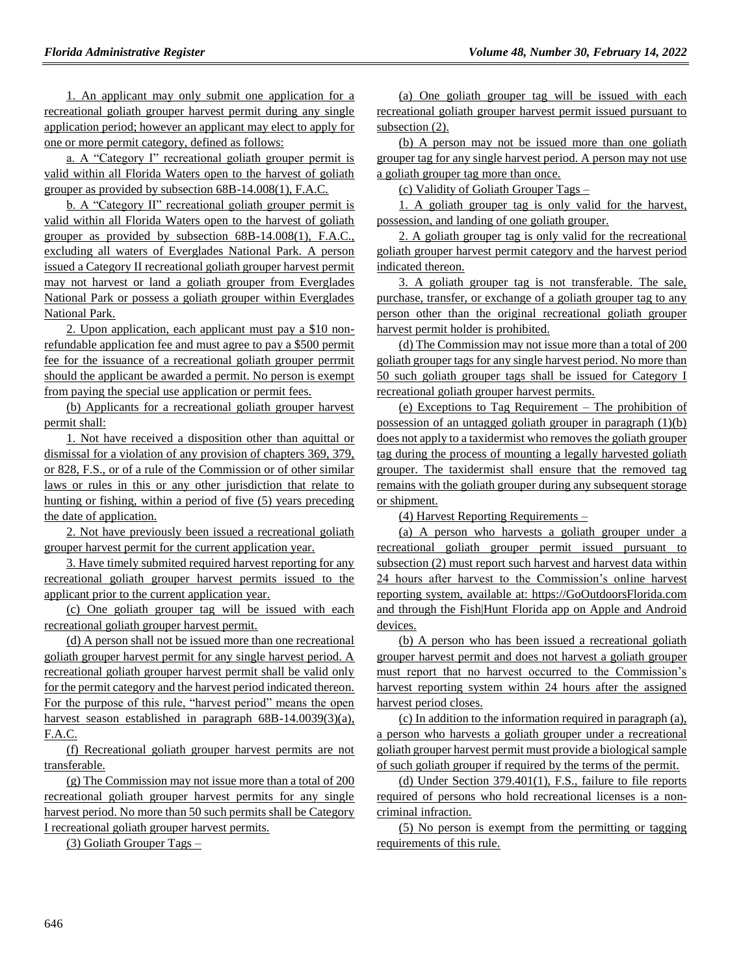1. An applicant may only submit one application for a recreational goliath grouper harvest permit during any single application period; however an applicant may elect to apply for one or more permit category, defined as follows:

a. A "Category I" recreational goliath grouper permit is valid within all Florida Waters open to the harvest of goliath grouper as provided by subsection 68B-14.008(1), F.A.C.

b. A "Category II" recreational goliath grouper permit is valid within all Florida Waters open to the harvest of goliath grouper as provided by subsection 68B-14.008(1), F.A.C., excluding all waters of Everglades National Park. A person issued a Category II recreational goliath grouper harvest permit may not harvest or land a goliath grouper from Everglades National Park or possess a goliath grouper within Everglades National Park.

2. Upon application, each applicant must pay a \$10 nonrefundable application fee and must agree to pay a \$500 permit fee for the issuance of a recreational goliath grouper perrmit should the applicant be awarded a permit. No person is exempt from paying the special use application or permit fees.

(b) Applicants for a recreational goliath grouper harvest permit shall:

1. Not have received a disposition other than aquittal or dismissal for a violation of any provision of chapters 369, 379, or 828, F.S., or of a rule of the Commission or of other similar laws or rules in this or any other jurisdiction that relate to hunting or fishing, within a period of five (5) years preceding the date of application.

2. Not have previously been issued a recreational goliath grouper harvest permit for the current application year.

3. Have timely submited required harvest reporting for any recreational goliath grouper harvest permits issued to the applicant prior to the current application year.

(c) One goliath grouper tag will be issued with each recreational goliath grouper harvest permit.

(d) A person shall not be issued more than one recreational goliath grouper harvest permit for any single harvest period. A recreational goliath grouper harvest permit shall be valid only for the permit category and the harvest period indicated thereon. For the purpose of this rule, "harvest period" means the open harvest season established in paragraph 68B-14.0039(3)(a), F.A.C.

(f) Recreational goliath grouper harvest permits are not transferable.

(g) The Commission may not issue more than a total of 200 recreational goliath grouper harvest permits for any single harvest period. No more than 50 such permits shall be Category I recreational goliath grouper harvest permits.

(3) Goliath Grouper Tags –

(a) One goliath grouper tag will be issued with each recreational goliath grouper harvest permit issued pursuant to subsection  $(2)$ .

(b) A person may not be issued more than one goliath grouper tag for any single harvest period. A person may not use a goliath grouper tag more than once.

(c) Validity of Goliath Grouper Tags –

1. A goliath grouper tag is only valid for the harvest, possession, and landing of one goliath grouper.

2. A goliath grouper tag is only valid for the recreational goliath grouper harvest permit category and the harvest period indicated thereon.

3. A goliath grouper tag is not transferable. The sale, purchase, transfer, or exchange of a goliath grouper tag to any person other than the original recreational goliath grouper harvest permit holder is prohibited.

(d) The Commission may not issue more than a total of 200 goliath grouper tags for any single harvest period. No more than 50 such goliath grouper tags shall be issued for Category I recreational goliath grouper harvest permits.

(e) Exceptions to Tag Requirement – The prohibition of possession of an untagged goliath grouper in paragraph (1)(b) does not apply to a taxidermist who removes the goliath grouper tag during the process of mounting a legally harvested goliath grouper. The taxidermist shall ensure that the removed tag remains with the goliath grouper during any subsequent storage or shipment.

(4) Harvest Reporting Requirements –

(a) A person who harvests a goliath grouper under a recreational goliath grouper permit issued pursuant to subsection (2) must report such harvest and harvest data within 24 hours after harvest to the Commission's online harvest reporting system, available at: https://GoOutdoorsFlorida.com and through the Fish|Hunt Florida app on Apple and Android devices.

(b) A person who has been issued a recreational goliath grouper harvest permit and does not harvest a goliath grouper must report that no harvest occurred to the Commission's harvest reporting system within 24 hours after the assigned harvest period closes.

(c) In addition to the information required in paragraph (a), a person who harvests a goliath grouper under a recreational goliath grouper harvest permit must provide a biological sample of such goliath grouper if required by the terms of the permit.

(d) Under Section 379.401(1), F.S., failure to file reports required of persons who hold recreational licenses is a noncriminal infraction.

(5) No person is exempt from the permitting or tagging requirements of this rule.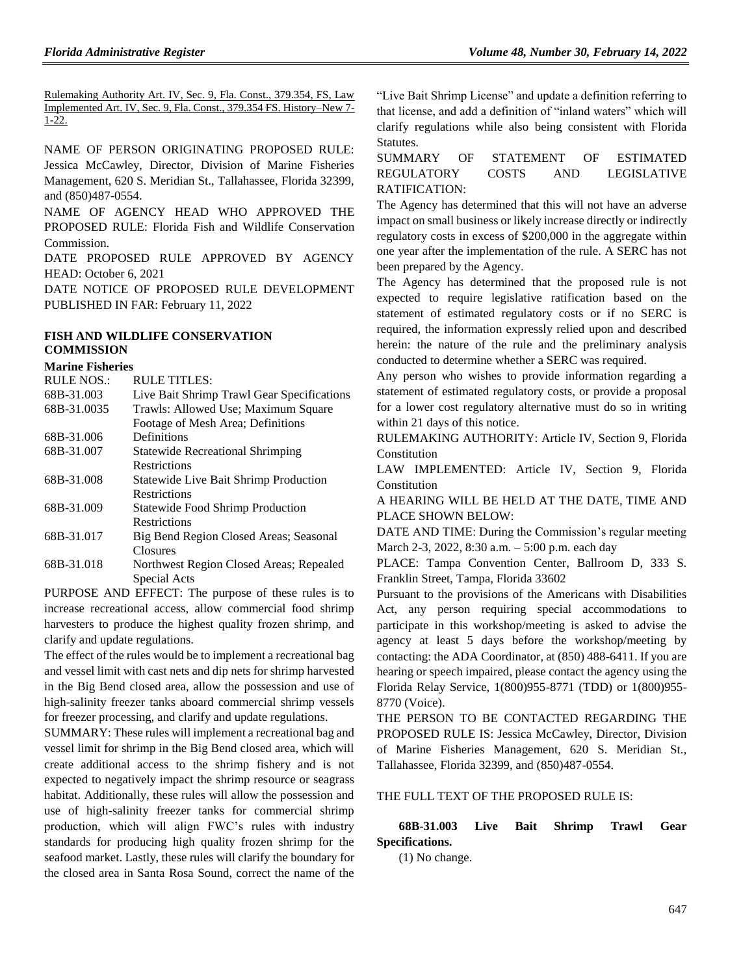Rulemaking Authority Art. IV, Sec. 9, Fla. Const., 379.354, FS, Law Implemented Art. IV, Sec. 9, Fla. Const., 379.354 FS. History–New 7- 1-22.

NAME OF PERSON ORIGINATING PROPOSED RULE: Jessica McCawley, Director, Division of Marine Fisheries Management, 620 S. Meridian St., Tallahassee, Florida 32399, and (850)487-0554.

NAME OF AGENCY HEAD WHO APPROVED THE PROPOSED RULE: Florida Fish and Wildlife Conservation Commission.

DATE PROPOSED RULE APPROVED BY AGENCY HEAD: October 6, 2021

DATE NOTICE OF PROPOSED RULE DEVELOPMENT PUBLISHED IN FAR: February 11, 2022

## **[FISH AND WILDLIFE CONSERVATION](https://www.flrules.org/gateway/department.asp?id=68)  [COMMISSION](https://www.flrules.org/gateway/department.asp?id=68)**

#### **[Marine Fisheries](https://www.flrules.org/gateway/organization.asp?id=348)**

| <b>RULE NOS.:</b> | <b>RULE TITLES:</b>                          |
|-------------------|----------------------------------------------|
| 68B-31.003        | Live Bait Shrimp Trawl Gear Specifications   |
| 68B-31.0035       | Trawls: Allowed Use; Maximum Square          |
|                   | Footage of Mesh Area; Definitions            |
| 68B-31.006        | Definitions                                  |
| 68B-31.007        | <b>Statewide Recreational Shrimping</b>      |
|                   | <b>Restrictions</b>                          |
| 68B-31.008        | <b>Statewide Live Bait Shrimp Production</b> |
|                   | Restrictions                                 |
| 68B-31.009        | <b>Statewide Food Shrimp Production</b>      |
|                   | <b>Restrictions</b>                          |
| 68B-31.017        | Big Bend Region Closed Areas; Seasonal       |
|                   | Closures                                     |
| 68B-31.018        | Northwest Region Closed Areas; Repealed      |
|                   |                                              |

Special Acts PURPOSE AND EFFECT: The purpose of these rules is to increase recreational access, allow commercial food shrimp harvesters to produce the highest quality frozen shrimp, and clarify and update regulations.

The effect of the rules would be to implement a recreational bag and vessel limit with cast nets and dip nets for shrimp harvested in the Big Bend closed area, allow the possession and use of high-salinity freezer tanks aboard commercial shrimp vessels for freezer processing, and clarify and update regulations.

SUMMARY: These rules will implement a recreational bag and vessel limit for shrimp in the Big Bend closed area, which will create additional access to the shrimp fishery and is not expected to negatively impact the shrimp resource or seagrass habitat. Additionally, these rules will allow the possession and use of high-salinity freezer tanks for commercial shrimp production, which will align FWC's rules with industry standards for producing high quality frozen shrimp for the seafood market. Lastly, these rules will clarify the boundary for the closed area in Santa Rosa Sound, correct the name of the

"Live Bait Shrimp License" and update a definition referring to that license, and add a definition of "inland waters" which will clarify regulations while also being consistent with Florida Statutes.

# SUMMARY OF STATEMENT OF ESTIMATED REGULATORY COSTS AND LEGISLATIVE RATIFICATION:

The Agency has determined that this will not have an adverse impact on small business or likely increase directly or indirectly regulatory costs in excess of \$200,000 in the aggregate within one year after the implementation of the rule. A SERC has not been prepared by the Agency.

The Agency has determined that the proposed rule is not expected to require legislative ratification based on the statement of estimated regulatory costs or if no SERC is required, the information expressly relied upon and described herein: the nature of the rule and the preliminary analysis conducted to determine whether a SERC was required.

Any person who wishes to provide information regarding a statement of estimated regulatory costs, or provide a proposal for a lower cost regulatory alternative must do so in writing within 21 days of this notice.

RULEMAKING AUTHORITY: [Article IV, Section 9, Florida](https://www.flrules.org/gateway/flconstitution.asp?id=Article%20IV,%20Section%209,%20Florida%20Constitution)  [Constitution](https://www.flrules.org/gateway/flconstitution.asp?id=Article%20IV,%20Section%209,%20Florida%20Constitution)

LAW IMPLEMENTED: [Article IV, Section 9, Florida](https://www.flrules.org/gateway/flconstitution.asp?id=Article%20IV,%20Section%209,%20Florida%20Constitution)  [Constitution](https://www.flrules.org/gateway/flconstitution.asp?id=Article%20IV,%20Section%209,%20Florida%20Constitution)

A HEARING WILL BE HELD AT THE DATE, TIME AND PLACE SHOWN BELOW:

DATE AND TIME: During the Commission's regular meeting March 2-3, 2022, 8:30 a.m. – 5:00 p.m. each day

PLACE: Tampa Convention Center, Ballroom D, 333 S. Franklin Street, Tampa, Florida 33602

Pursuant to the provisions of the Americans with Disabilities Act, any person requiring special accommodations to participate in this workshop/meeting is asked to advise the agency at least 5 days before the workshop/meeting by contacting: the ADA Coordinator, at (850) 488-6411. If you are hearing or speech impaired, please contact the agency using the Florida Relay Service, 1(800)955-8771 (TDD) or 1(800)955- 8770 (Voice).

THE PERSON TO BE CONTACTED REGARDING THE PROPOSED RULE IS: Jessica McCawley, Director, Division of Marine Fisheries Management, 620 S. Meridian St., Tallahassee, Florida 32399, and (850)487-0554.

#### THE FULL TEXT OF THE PROPOSED RULE IS:

# **68B-31.003 Live Bait Shrimp Trawl Gear Specifications.**

(1) No change.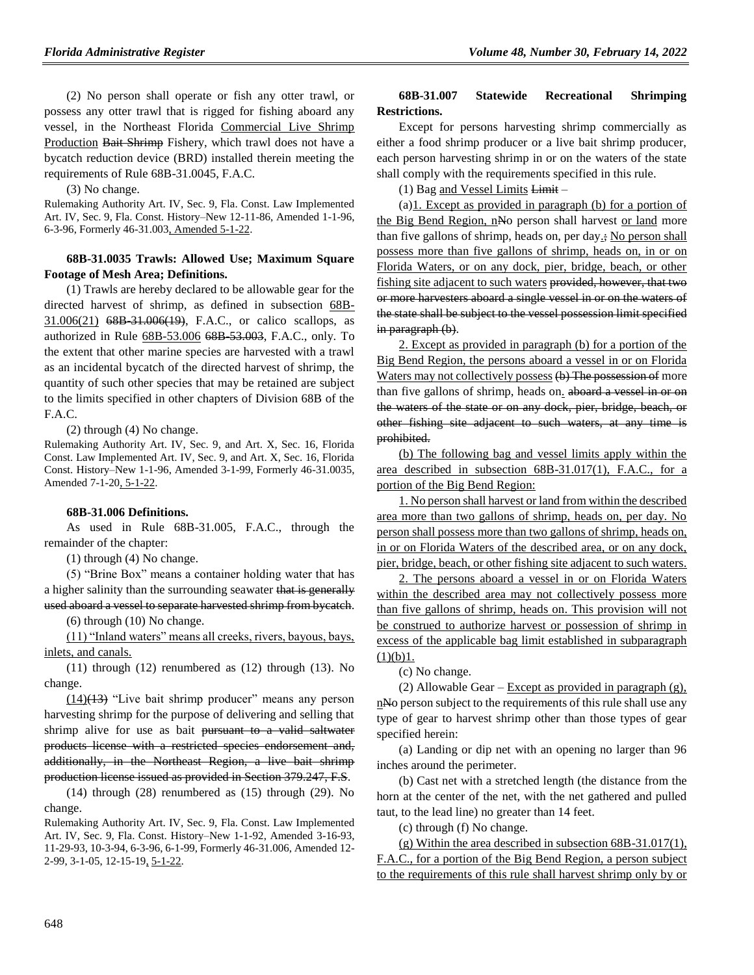(2) No person shall operate or fish any otter trawl, or possess any otter trawl that is rigged for fishing aboard any vessel, in the Northeast Florida Commercial Live Shrimp Production Bait Shrimp Fishery, which trawl does not have a bycatch reduction device (BRD) installed therein meeting the requirements of Rule 68B-31.0045, F.A.C.

(3) No change.

Rulemaking Authority Art. IV, Sec. 9, Fla. Const. Law Implemented Art. IV, Sec. 9, Fla. Const. History–New 12-11-86, Amended 1-1-96, 6-3-96, Formerly 46-31.003, Amended 5-1-22.

### **68B-31.0035 Trawls: Allowed Use; Maximum Square Footage of Mesh Area; Definitions.**

(1) Trawls are hereby declared to be allowable gear for the directed harvest of shrimp, as defined in subsection 68B-31.006(21) 68B-31.006(19), F.A.C., or calico scallops, as authorized in Rule 68B-53.006 68B-53.003, F.A.C., only. To the extent that other marine species are harvested with a trawl as an incidental bycatch of the directed harvest of shrimp, the quantity of such other species that may be retained are subject to the limits specified in other chapters of Division 68B of the F.A.C.

(2) through (4) No change.

Rulemaking Authority Art. IV, Sec. 9, and Art. X, Sec. 16, Florida Const. Law Implemented Art. IV, Sec. 9, and Art. X, Sec. 16, Florida Const. History–New 1-1-96, Amended 3-1-99, Formerly 46-31.0035, Amended 7-1-20, 5-1-22.

#### **68B-31.006 Definitions.**

As used in Rule 68B-31.005, F.A.C., through the remainder of the chapter:

(1) through (4) No change.

(5) "Brine Box" means a container holding water that has a higher salinity than the surrounding seawater that is generally used aboard a vessel to separate harvested shrimp from bycatch.

(6) through (10) No change.

(11) "Inland waters" means all creeks, rivers, bayous, bays, inlets, and canals.

(11) through (12) renumbered as (12) through (13). No change.

 $(14)$ (13) "Live bait shrimp producer" means any person harvesting shrimp for the purpose of delivering and selling that shrimp alive for use as bait pursuant to a valid saltwater products license with a restricted species endorsement and, additionally, in the Northeast Region, a live bait shrimp production license issued as provided in Section 379.247, F.S.

(14) through (28) renumbered as (15) through (29). No change.

Rulemaking Authority Art. IV, Sec. 9, Fla. Const. Law Implemented Art. IV, Sec. 9, Fla. Const. History–New 1-1-92, Amended 3-16-93, 11-29-93, 10-3-94, 6-3-96, 6-1-99, Formerly 46-31.006, Amended 12- 2-99, 3-1-05, 12-15-19, 5-1-22.

### **68B-31.007 Statewide Recreational Shrimping Restrictions.**

Except for persons harvesting shrimp commercially as either a food shrimp producer or a live bait shrimp producer, each person harvesting shrimp in or on the waters of the state shall comply with the requirements specified in this rule.

(1) Bag and Vessel Limits Limit –

(a)1. Except as provided in paragraph (b) for a portion of the Big Bend Region, nNo person shall harvest or land more than five gallons of shrimp, heads on, per day.; No person shall possess more than five gallons of shrimp, heads on, in or on Florida Waters, or on any dock, pier, bridge, beach, or other fishing site adjacent to such waters provided, however, that two or more harvesters aboard a single vessel in or on the waters of the state shall be subject to the vessel possession limit specified in paragraph (b).

2. Except as provided in paragraph (b) for a portion of the Big Bend Region, the persons aboard a vessel in or on Florida Waters may not collectively possess (b) The possession of more than five gallons of shrimp, heads on. aboard a vessel in or on the waters of the state or on any dock, pier, bridge, beach, or other fishing site adjacent to such waters, at any time is prohibited.

(b) The following bag and vessel limits apply within the area described in subsection 68B-31.017(1), F.A.C., for a portion of the Big Bend Region:

1. No person shall harvest or land from within the described area more than two gallons of shrimp, heads on, per day. No person shall possess more than two gallons of shrimp, heads on, in or on Florida Waters of the described area, or on any dock, pier, bridge, beach, or other fishing site adjacent to such waters.

2. The persons aboard a vessel in or on Florida Waters within the described area may not collectively possess more than five gallons of shrimp, heads on. This provision will not be construed to authorize harvest or possession of shrimp in excess of the applicable bag limit established in subparagraph  $(1)(b)1.$ 

(c) No change.

(2) Allowable Gear – Except as provided in paragraph  $(g)$ , n<sup>No</sup> person subject to the requirements of this rule shall use any type of gear to harvest shrimp other than those types of gear specified herein:

(a) Landing or dip net with an opening no larger than 96 inches around the perimeter.

(b) Cast net with a stretched length (the distance from the horn at the center of the net, with the net gathered and pulled taut, to the lead line) no greater than 14 feet.

(c) through (f) No change.

(g) Within the area described in subsection 68B-31.017(1), F.A.C., for a portion of the Big Bend Region, a person subject to the requirements of this rule shall harvest shrimp only by or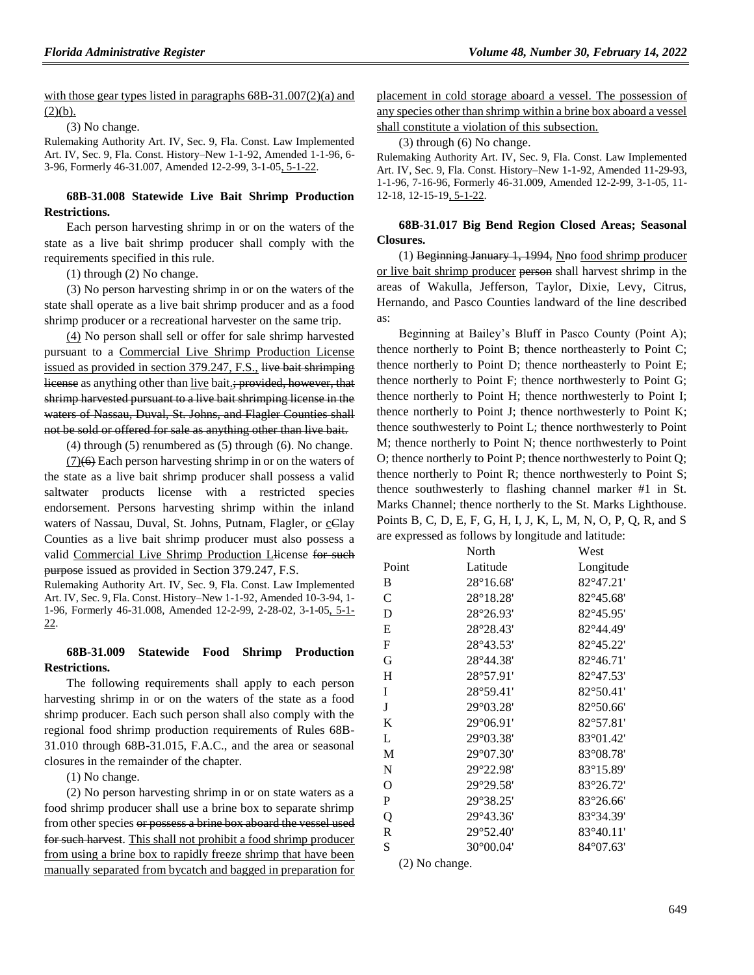with those gear types listed in paragraphs  $68B-31.007(2)(a)$  and  $(2)(b).$ 

(3) No change.

Rulemaking Authority Art. IV, Sec. 9, Fla. Const. Law Implemented Art. IV, Sec. 9, Fla. Const. History–New 1-1-92, Amended 1-1-96, 6- 3-96, Formerly 46-31.007, Amended 12-2-99, 3-1-05, 5-1-22.

## **68B-31.008 Statewide Live Bait Shrimp Production Restrictions.**

Each person harvesting shrimp in or on the waters of the state as a live bait shrimp producer shall comply with the requirements specified in this rule.

(1) through (2) No change.

(3) No person harvesting shrimp in or on the waters of the state shall operate as a live bait shrimp producer and as a food shrimp producer or a recreational harvester on the same trip.

(4) No person shall sell or offer for sale shrimp harvested pursuant to a Commercial Live Shrimp Production License issued as provided in section 379.247, F.S., live bait shrimping license as anything other than live bait.; provided, however, that shrimp harvested pursuant to a live bait shrimping license in the waters of Nassau, Duval, St. Johns, and Flagler Counties shall not be sold or offered for sale as anything other than live bait.

(4) through (5) renumbered as (5) through (6). No change.

(7)(6) Each person harvesting shrimp in or on the waters of the state as a live bait shrimp producer shall possess a valid saltwater products license with a restricted species endorsement. Persons harvesting shrimp within the inland waters of Nassau, Duval, St. Johns, Putnam, Flagler, or cClay Counties as a live bait shrimp producer must also possess a valid Commercial Live Shrimp Production Llicense for such purpose issued as provided in Section 379.247, F.S.

Rulemaking Authority Art. IV, Sec. 9, Fla. Const. Law Implemented Art. IV, Sec. 9, Fla. Const. History–New 1-1-92, Amended 10-3-94, 1- 1-96, Formerly 46-31.008, Amended 12-2-99, 2-28-02, 3-1-05, 5-1- 22.

## **68B-31.009 Statewide Food Shrimp Production Restrictions.**

The following requirements shall apply to each person harvesting shrimp in or on the waters of the state as a food shrimp producer. Each such person shall also comply with the regional food shrimp production requirements of Rules 68B-31.010 through 68B-31.015, F.A.C., and the area or seasonal closures in the remainder of the chapter.

(1) No change.

(2) No person harvesting shrimp in or on state waters as a food shrimp producer shall use a brine box to separate shrimp from other species or possess a brine box aboard the vessel used for such harvest. This shall not prohibit a food shrimp producer from using a brine box to rapidly freeze shrimp that have been manually separated from bycatch and bagged in preparation for placement in cold storage aboard a vessel. The possession of any species other than shrimp within a brine box aboard a vessel shall constitute a violation of this subsection.

#### (3) through (6) No change.

Rulemaking Authority Art. IV, Sec. 9, Fla. Const. Law Implemented Art. IV, Sec. 9, Fla. Const. History–New 1-1-92, Amended 11-29-93, 1-1-96, 7-16-96, Formerly 46-31.009, Amended 12-2-99, 3-1-05, 11- 12-18, 12-15-19, 5-1-22.

#### **68B-31.017 Big Bend Region Closed Areas; Seasonal Closures.**

(1) Beginning January 1, 1994, Nno food shrimp producer or live bait shrimp producer person shall harvest shrimp in the areas of Wakulla, Jefferson, Taylor, Dixie, Levy, Citrus, Hernando, and Pasco Counties landward of the line described as:

Beginning at Bailey's Bluff in Pasco County (Point A); thence northerly to Point B; thence northeasterly to Point C; thence northerly to Point D; thence northeasterly to Point E; thence northerly to Point F; thence northwesterly to Point G; thence northerly to Point H; thence northwesterly to Point I; thence northerly to Point J; thence northwesterly to Point K; thence southwesterly to Point L; thence northwesterly to Point M; thence northerly to Point N; thence northwesterly to Point O; thence northerly to Point P; thence northwesterly to Point Q; thence northerly to Point R; thence northwesterly to Point S; thence southwesterly to flashing channel marker #1 in St. Marks Channel; thence northerly to the St. Marks Lighthouse. Points B, C, D, E, F, G, H, I, J, K, L, M, N, O, P, Q, R, and S are expressed as follows by longitude and latitude:

|               | North              | West               |
|---------------|--------------------|--------------------|
| Point         | Latitude           | Longitude          |
| B             | $28^{\circ}16.68'$ | 82°47.21'          |
| $\mathcal{C}$ | 28°18.28'          | $82^{\circ}45.68'$ |
| D             | 28°26.93'          | 82°45.95'          |
| E             | 28°28.43'          | 82°44.49'          |
| $\mathbf{F}$  | 28°43.53'          | 82°45.22'          |
| G             | 28°44.38'          | 82°46.71'          |
| H             | 28°57.91'          | 82°47.53'          |
| I             | 28°59.41'          | $82^{\circ}50.41'$ |
| J             | 29°03.28'          | 82°50.66'          |
| K             | 29°06.91'          | 82°57.81'          |
| L             | 29°03.38'          | 83°01.42'          |
| M             | 29°07.30'          | $83^{\circ}08.78'$ |
| N             | 29°22.98'          | 83°15.89'          |
| O             | 29°29.58'          | 83°26.72'          |
| $\mathbf P$   | 29°38.25'          | $83^{\circ}26.66'$ |
| Q             | 29°43.36'          | 83°34.39'          |
| $\mathbb{R}$  | 29°52.40'          | 83°40.11'          |
| S             | 30°00.04'          | 84°07.63'          |

(2) No change.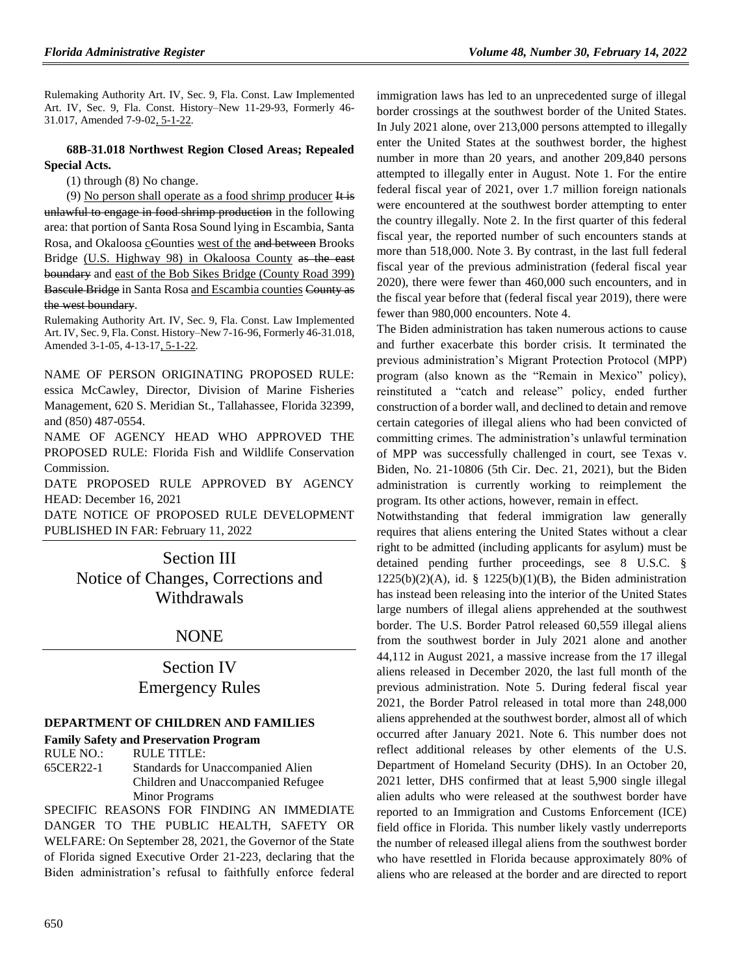Rulemaking Authority Art. IV, Sec. 9, Fla. Const. Law Implemented Art. IV, Sec. 9, Fla. Const. History–New 11-29-93, Formerly 46- 31.017, Amended 7-9-02, 5-1-22.

## **68B-31.018 Northwest Region Closed Areas; Repealed Special Acts.**

(1) through (8) No change.

(9) No person shall operate as a food shrimp producer It is unlawful to engage in food shrimp production in the following area: that portion of Santa Rosa Sound lying in Escambia, Santa Rosa, and Okaloosa cCounties west of the and between Brooks Bridge (U.S. Highway 98) in Okaloosa County as the east boundary and east of the Bob Sikes Bridge (County Road 399) Bascule Bridge in Santa Rosa and Escambia counties County as the west boundary.

Rulemaking Authority Art. IV, Sec. 9, Fla. Const. Law Implemented Art. IV, Sec. 9, Fla. Const. History–New 7-16-96, Formerly 46-31.018, Amended 3-1-05, 4-13-17, 5-1-22.

NAME OF PERSON ORIGINATING PROPOSED RULE: essica McCawley, Director, Division of Marine Fisheries Management, 620 S. Meridian St., Tallahassee, Florida 32399, and (850) 487-0554.

NAME OF AGENCY HEAD WHO APPROVED THE PROPOSED RULE: Florida Fish and Wildlife Conservation Commission.

DATE PROPOSED RULE APPROVED BY AGENCY HEAD: December 16, 2021

DATE NOTICE OF PROPOSED RULE DEVELOPMENT PUBLISHED IN FAR: February 11, 2022

Section III Notice of Changes, Corrections and Withdrawals

# NONE

# Section IV Emergency Rules

# **[DEPARTMENT OF CHILDREN AND FAMILIES](https://www.flrules.org/gateway/department.asp?id=65)**

#### **[Family Safety and Preservation Program](https://www.flrules.org/gateway/organization.asp?id=342)**

RULE NO.: RULE TITLE: [65CER22-1](https://www.flrules.org/gateway/ruleNo.asp?id=65CER22-1) Standards for Unaccompanied Alien Children and Unaccompanied Refugee Minor Programs

SPECIFIC REASONS FOR FINDING AN IMMEDIATE DANGER TO THE PUBLIC HEALTH, SAFETY OR WELFARE: On September 28, 2021, the Governor of the State of Florida signed Executive Order 21-223, declaring that the Biden administration's refusal to faithfully enforce federal immigration laws has led to an unprecedented surge of illegal border crossings at the southwest border of the United States. In July 2021 alone, over 213,000 persons attempted to illegally enter the United States at the southwest border, the highest number in more than 20 years, and another 209,840 persons attempted to illegally enter in August. Note 1. For the entire federal fiscal year of 2021, over 1.7 million foreign nationals were encountered at the southwest border attempting to enter the country illegally. Note 2. In the first quarter of this federal fiscal year, the reported number of such encounters stands at more than 518,000. Note 3. By contrast, in the last full federal fiscal year of the previous administration (federal fiscal year 2020), there were fewer than 460,000 such encounters, and in the fiscal year before that (federal fiscal year 2019), there were fewer than 980,000 encounters. Note 4.

The Biden administration has taken numerous actions to cause and further exacerbate this border crisis. It terminated the previous administration's Migrant Protection Protocol (MPP) program (also known as the "Remain in Mexico" policy), reinstituted a "catch and release" policy, ended further construction of a border wall, and declined to detain and remove certain categories of illegal aliens who had been convicted of committing crimes. The administration's unlawful termination of MPP was successfully challenged in court, see Texas v. Biden, No. 21-10806 (5th Cir. Dec. 21, 2021), but the Biden administration is currently working to reimplement the program. Its other actions, however, remain in effect.

Notwithstanding that federal immigration law generally requires that aliens entering the United States without a clear right to be admitted (including applicants for asylum) must be detained pending further proceedings, see 8 U.S.C. §  $1225(b)(2)(A)$ , id. §  $1225(b)(1)(B)$ , the Biden administration has instead been releasing into the interior of the United States large numbers of illegal aliens apprehended at the southwest border. The U.S. Border Patrol released 60,559 illegal aliens from the southwest border in July 2021 alone and another 44,112 in August 2021, a massive increase from the 17 illegal aliens released in December 2020, the last full month of the previous administration. Note 5. During federal fiscal year 2021, the Border Patrol released in total more than 248,000 aliens apprehended at the southwest border, almost all of which occurred after January 2021. Note 6. This number does not reflect additional releases by other elements of the U.S. Department of Homeland Security (DHS). In an October 20, 2021 letter, DHS confirmed that at least 5,900 single illegal alien adults who were released at the southwest border have reported to an Immigration and Customs Enforcement (ICE) field office in Florida. This number likely vastly underreports the number of released illegal aliens from the southwest border who have resettled in Florida because approximately 80% of aliens who are released at the border and are directed to report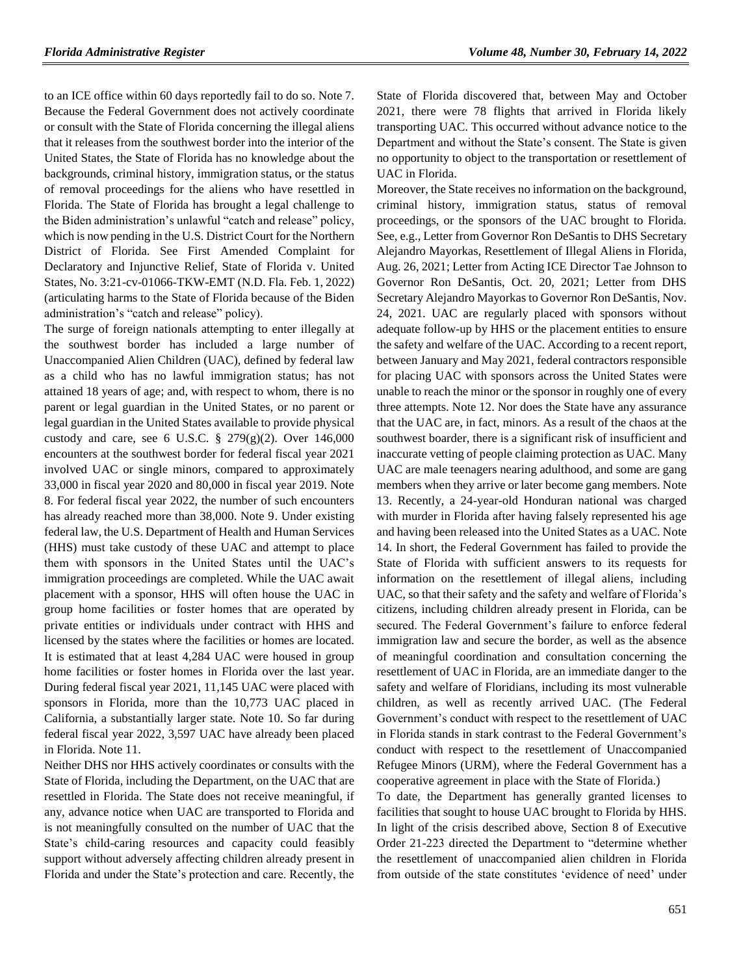to an ICE office within 60 days reportedly fail to do so. Note 7. Because the Federal Government does not actively coordinate or consult with the State of Florida concerning the illegal aliens that it releases from the southwest border into the interior of the United States, the State of Florida has no knowledge about the backgrounds, criminal history, immigration status, or the status of removal proceedings for the aliens who have resettled in Florida. The State of Florida has brought a legal challenge to the Biden administration's unlawful "catch and release" policy, which is now pending in the U.S. District Court for the Northern District of Florida. See First Amended Complaint for Declaratory and Injunctive Relief, State of Florida v. United States, No. 3:21-cv-01066-TKW-EMT (N.D. Fla. Feb. 1, 2022) (articulating harms to the State of Florida because of the Biden administration's "catch and release" policy).

The surge of foreign nationals attempting to enter illegally at the southwest border has included a large number of Unaccompanied Alien Children (UAC), defined by federal law as a child who has no lawful immigration status; has not attained 18 years of age; and, with respect to whom, there is no parent or legal guardian in the United States, or no parent or legal guardian in the United States available to provide physical custody and care, see 6 U.S.C.  $\S$  279(g)(2). Over 146,000 encounters at the southwest border for federal fiscal year 2021 involved UAC or single minors, compared to approximately 33,000 in fiscal year 2020 and 80,000 in fiscal year 2019. Note 8. For federal fiscal year 2022, the number of such encounters has already reached more than 38,000. Note 9. Under existing federal law, the U.S. Department of Health and Human Services (HHS) must take custody of these UAC and attempt to place them with sponsors in the United States until the UAC's immigration proceedings are completed. While the UAC await placement with a sponsor, HHS will often house the UAC in group home facilities or foster homes that are operated by private entities or individuals under contract with HHS and licensed by the states where the facilities or homes are located. It is estimated that at least 4,284 UAC were housed in group home facilities or foster homes in Florida over the last year. During federal fiscal year 2021, 11,145 UAC were placed with sponsors in Florida, more than the 10,773 UAC placed in California, a substantially larger state. Note 10. So far during federal fiscal year 2022, 3,597 UAC have already been placed in Florida. Note 11.

Neither DHS nor HHS actively coordinates or consults with the State of Florida, including the Department, on the UAC that are resettled in Florida. The State does not receive meaningful, if any, advance notice when UAC are transported to Florida and is not meaningfully consulted on the number of UAC that the State's child-caring resources and capacity could feasibly support without adversely affecting children already present in Florida and under the State's protection and care. Recently, the

State of Florida discovered that, between May and October 2021, there were 78 flights that arrived in Florida likely transporting UAC. This occurred without advance notice to the Department and without the State's consent. The State is given no opportunity to object to the transportation or resettlement of UAC in Florida.

Moreover, the State receives no information on the background, criminal history, immigration status, status of removal proceedings, or the sponsors of the UAC brought to Florida. See, e.g., Letter from Governor Ron DeSantis to DHS Secretary Alejandro Mayorkas, Resettlement of Illegal Aliens in Florida, Aug. 26, 2021; Letter from Acting ICE Director Tae Johnson to Governor Ron DeSantis, Oct. 20, 2021; Letter from DHS Secretary Alejandro Mayorkas to Governor Ron DeSantis, Nov. 24, 2021. UAC are regularly placed with sponsors without adequate follow-up by HHS or the placement entities to ensure the safety and welfare of the UAC. According to a recent report, between January and May 2021, federal contractors responsible for placing UAC with sponsors across the United States were unable to reach the minor or the sponsor in roughly one of every three attempts. Note 12. Nor does the State have any assurance that the UAC are, in fact, minors. As a result of the chaos at the southwest boarder, there is a significant risk of insufficient and inaccurate vetting of people claiming protection as UAC. Many UAC are male teenagers nearing adulthood, and some are gang members when they arrive or later become gang members. Note 13. Recently, a 24-year-old Honduran national was charged with murder in Florida after having falsely represented his age and having been released into the United States as a UAC. Note 14. In short, the Federal Government has failed to provide the State of Florida with sufficient answers to its requests for information on the resettlement of illegal aliens, including UAC, so that their safety and the safety and welfare of Florida's citizens, including children already present in Florida, can be secured. The Federal Government's failure to enforce federal immigration law and secure the border, as well as the absence of meaningful coordination and consultation concerning the resettlement of UAC in Florida, are an immediate danger to the safety and welfare of Floridians, including its most vulnerable children, as well as recently arrived UAC. (The Federal Government's conduct with respect to the resettlement of UAC in Florida stands in stark contrast to the Federal Government's conduct with respect to the resettlement of Unaccompanied Refugee Minors (URM), where the Federal Government has a cooperative agreement in place with the State of Florida.)

To date, the Department has generally granted licenses to facilities that sought to house UAC brought to Florida by HHS. In light of the crisis described above, Section 8 of Executive Order 21-223 directed the Department to "determine whether the resettlement of unaccompanied alien children in Florida from outside of the state constitutes 'evidence of need' under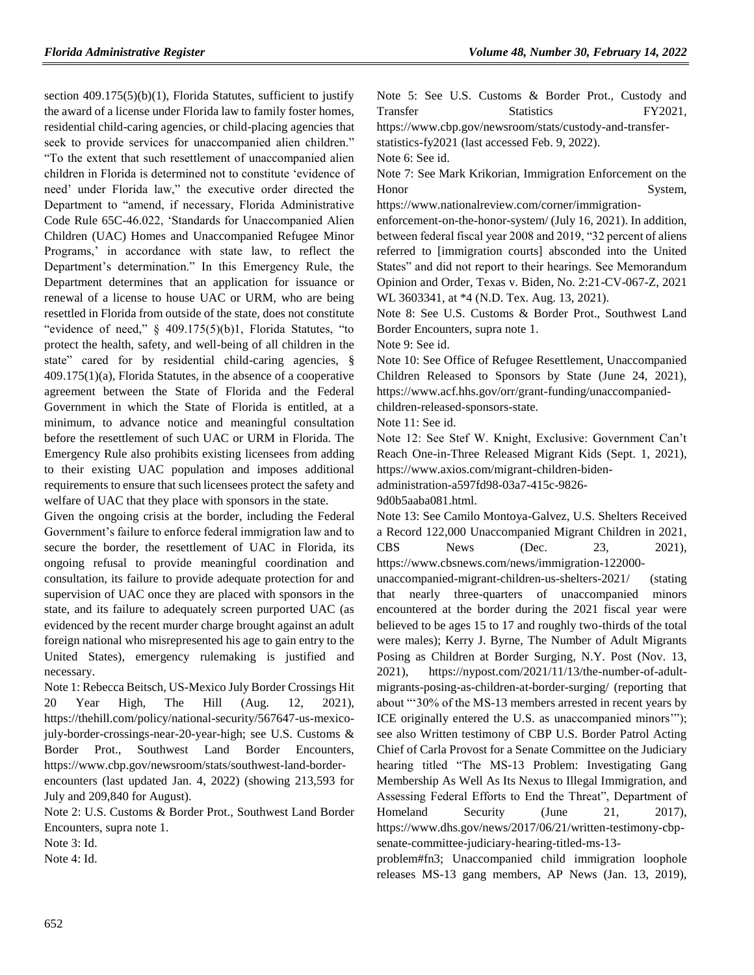section 409.175(5)(b)(1), Florida Statutes, sufficient to justify the award of a license under Florida law to family foster homes, residential child-caring agencies, or child-placing agencies that seek to provide services for unaccompanied alien children." "To the extent that such resettlement of unaccompanied alien children in Florida is determined not to constitute 'evidence of need' under Florida law," the executive order directed the Department to "amend, if necessary, Florida Administrative Code Rule 65C-46.022, 'Standards for Unaccompanied Alien Children (UAC) Homes and Unaccompanied Refugee Minor Programs,' in accordance with state law, to reflect the Department's determination." In this Emergency Rule, the Department determines that an application for issuance or renewal of a license to house UAC or URM, who are being resettled in Florida from outside of the state, does not constitute "evidence of need," § 409.175(5)(b)1, Florida Statutes, "to protect the health, safety, and well-being of all children in the state" cared for by residential child-caring agencies, § 409.175(1)(a), Florida Statutes, in the absence of a cooperative agreement between the State of Florida and the Federal Government in which the State of Florida is entitled, at a minimum, to advance notice and meaningful consultation before the resettlement of such UAC or URM in Florida. The Emergency Rule also prohibits existing licensees from adding to their existing UAC population and imposes additional requirements to ensure that such licensees protect the safety and welfare of UAC that they place with sponsors in the state.

Given the ongoing crisis at the border, including the Federal Government's failure to enforce federal immigration law and to secure the border, the resettlement of UAC in Florida, its ongoing refusal to provide meaningful coordination and consultation, its failure to provide adequate protection for and supervision of UAC once they are placed with sponsors in the state, and its failure to adequately screen purported UAC (as evidenced by the recent murder charge brought against an adult foreign national who misrepresented his age to gain entry to the United States), emergency rulemaking is justified and necessary.

Note 1: Rebecca Beitsch, US-Mexico July Border Crossings Hit 20 Year High, The Hill (Aug. 12, 2021), https://thehill.com/policy/national-security/567647-us-mexicojuly-border-crossings-near-20-year-high; see U.S. Customs & Border Prot., Southwest Land Border Encounters, https://www.cbp.gov/newsroom/stats/southwest-land-borderencounters (last updated Jan. 4, 2022) (showing 213,593 for July and 209,840 for August).

Note 2: U.S. Customs & Border Prot., Southwest Land Border Encounters, supra note 1.

Note 3: Id.

Note 4: Id.

Note 5: See U.S. Customs & Border Prot., Custody and Transfer Statistics FY2021.

https://www.cbp.gov/newsroom/stats/custody-and-transfer-

statistics-fy2021 (last accessed Feb. 9, 2022).

Note 6: See id.

Note 7: See Mark Krikorian, Immigration Enforcement on the Honor System,

https://www.nationalreview.com/corner/immigration-

enforcement-on-the-honor-system/ (July 16, 2021). In addition, between federal fiscal year 2008 and 2019, "32 percent of aliens referred to [immigration courts] absconded into the United States" and did not report to their hearings. See Memorandum Opinion and Order, Texas v. Biden, No. 2:21-CV-067-Z, 2021 WL 3603341, at \*4 (N.D. Tex. Aug. 13, 2021).

Note 8: See U.S. Customs & Border Prot., Southwest Land Border Encounters, supra note 1.

Note 9: See id.

Note 10: See Office of Refugee Resettlement, Unaccompanied Children Released to Sponsors by State (June 24, 2021), https://www.acf.hhs.gov/orr/grant-funding/unaccompaniedchildren-released-sponsors-state.

Note 11: See id.

Note 12: See Stef W. Knight, Exclusive: Government Can't Reach One-in-Three Released Migrant Kids (Sept. 1, 2021), https://www.axios.com/migrant-children-biden-

administration-a597fd98-03a7-415c-9826-

9d0b5aaba081.html.

Note 13: See Camilo Montoya-Galvez, U.S. Shelters Received a Record 122,000 Unaccompanied Migrant Children in 2021, CBS News (Dec. 23, 2021), https://www.cbsnews.com/news/immigration-122000-

unaccompanied-migrant-children-us-shelters-2021/ (stating that nearly three-quarters of unaccompanied minors encountered at the border during the 2021 fiscal year were believed to be ages 15 to 17 and roughly two-thirds of the total were males); Kerry J. Byrne, The Number of Adult Migrants Posing as Children at Border Surging, N.Y. Post (Nov. 13, 2021), https://nypost.com/2021/11/13/the-number-of-adultmigrants-posing-as-children-at-border-surging/ (reporting that about "'30% of the MS-13 members arrested in recent years by ICE originally entered the U.S. as unaccompanied minors'"); see also Written testimony of CBP U.S. Border Patrol Acting Chief of Carla Provost for a Senate Committee on the Judiciary hearing titled "The MS-13 Problem: Investigating Gang Membership As Well As Its Nexus to Illegal Immigration, and Assessing Federal Efforts to End the Threat", Department of Homeland Security (June 21, 2017), https://www.dhs.gov/news/2017/06/21/written-testimony-cbpsenate-committee-judiciary-hearing-titled-ms-13-

problem#fn3; Unaccompanied child immigration loophole releases MS-13 gang members, AP News (Jan. 13, 2019),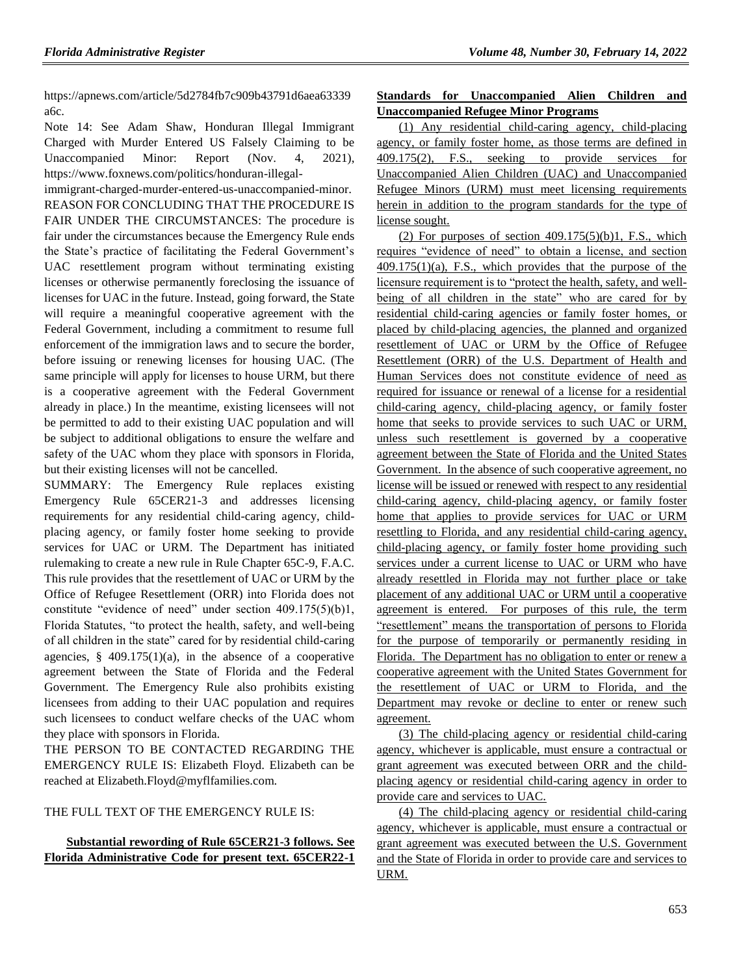https://apnews.com/article/5d2784fb7c909b43791d6aea63339 a6c.

Note 14: See Adam Shaw, Honduran Illegal Immigrant Charged with Murder Entered US Falsely Claiming to be Unaccompanied Minor: Report (Nov. 4, 2021), https://www.foxnews.com/politics/honduran-illegal-

immigrant-charged-murder-entered-us-unaccompanied-minor. REASON FOR CONCLUDING THAT THE PROCEDURE IS FAIR UNDER THE CIRCUMSTANCES: The procedure is fair under the circumstances because the Emergency Rule ends the State's practice of facilitating the Federal Government's UAC resettlement program without terminating existing licenses or otherwise permanently foreclosing the issuance of licenses for UAC in the future. Instead, going forward, the State will require a meaningful cooperative agreement with the Federal Government, including a commitment to resume full enforcement of the immigration laws and to secure the border, before issuing or renewing licenses for housing UAC. (The same principle will apply for licenses to house URM, but there is a cooperative agreement with the Federal Government already in place.) In the meantime, existing licensees will not be permitted to add to their existing UAC population and will be subject to additional obligations to ensure the welfare and safety of the UAC whom they place with sponsors in Florida, but their existing licenses will not be cancelled.

SUMMARY: The Emergency Rule replaces existing Emergency Rule 65CER21-3 and addresses licensing requirements for any residential child-caring agency, childplacing agency, or family foster home seeking to provide services for UAC or URM. The Department has initiated rulemaking to create a new rule in Rule Chapter 65C-9, F.A.C. This rule provides that the resettlement of UAC or URM by the Office of Refugee Resettlement (ORR) into Florida does not constitute "evidence of need" under section 409.175(5)(b)1, Florida Statutes, "to protect the health, safety, and well-being of all children in the state" cared for by residential child-caring agencies,  $\S$  409.175(1)(a), in the absence of a cooperative agreement between the State of Florida and the Federal Government. The Emergency Rule also prohibits existing licensees from adding to their UAC population and requires such licensees to conduct welfare checks of the UAC whom they place with sponsors in Florida.

THE PERSON TO BE CONTACTED REGARDING THE EMERGENCY RULE IS: Elizabeth Floyd. Elizabeth can be reached at Elizabeth.Floyd@myflfamilies.com.

# THE FULL TEXT OF THE EMERGENCY RULE IS:

# **Substantial rewording of Rule 65CER21-3 follows. See Florida Administrative Code for present text. 65CER22-1**

# **Standards for Unaccompanied Alien Children and Unaccompanied Refugee Minor Programs**

(1) Any residential child-caring agency, child-placing agency, or family foster home, as those terms are defined in 409.175(2), F.S., seeking to provide services for Unaccompanied Alien Children (UAC) and Unaccompanied Refugee Minors (URM) must meet licensing requirements herein in addition to the program standards for the type of license sought.

(2) For purposes of section  $409.175(5)(b)1$ , F.S., which requires "evidence of need" to obtain a license, and section  $409.175(1)(a)$ , F.S., which provides that the purpose of the licensure requirement is to "protect the health, safety, and wellbeing of all children in the state" who are cared for by residential child-caring agencies or family foster homes, or placed by child-placing agencies, the planned and organized resettlement of UAC or URM by the Office of Refugee Resettlement (ORR) of the U.S. Department of Health and Human Services does not constitute evidence of need as required for issuance or renewal of a license for a residential child-caring agency, child-placing agency, or family foster home that seeks to provide services to such UAC or URM, unless such resettlement is governed by a cooperative agreement between the State of Florida and the United States Government. In the absence of such cooperative agreement, no license will be issued or renewed with respect to any residential child-caring agency, child-placing agency, or family foster home that applies to provide services for UAC or URM resettling to Florida, and any residential child-caring agency, child-placing agency, or family foster home providing such services under a current license to UAC or URM who have already resettled in Florida may not further place or take placement of any additional UAC or URM until a cooperative agreement is entered. For purposes of this rule, the term "resettlement" means the transportation of persons to Florida for the purpose of temporarily or permanently residing in Florida. The Department has no obligation to enter or renew a cooperative agreement with the United States Government for the resettlement of UAC or URM to Florida, and the Department may revoke or decline to enter or renew such agreement.

(3) The child-placing agency or residential child-caring agency, whichever is applicable, must ensure a contractual or grant agreement was executed between ORR and the childplacing agency or residential child-caring agency in order to provide care and services to UAC.

(4) The child-placing agency or residential child-caring agency, whichever is applicable, must ensure a contractual or grant agreement was executed between the U.S. Government and the State of Florida in order to provide care and services to URM.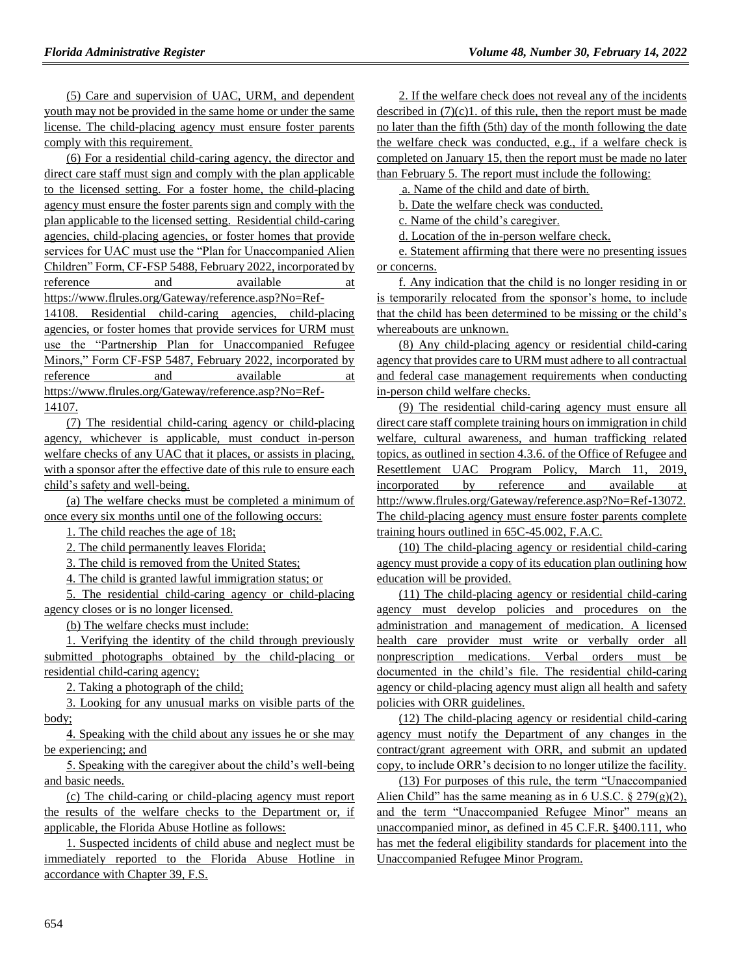(5) Care and supervision of UAC, URM, and dependent youth may not be provided in the same home or under the same license. The child-placing agency must ensure foster parents comply with this requirement.

(6) For a residential child-caring agency, the director and direct care staff must sign and comply with the plan applicable to the licensed setting. For a foster home, the child-placing agency must ensure the foster parents sign and comply with the plan applicable to the licensed setting. Residential child-caring agencies, child-placing agencies, or foster homes that provide services for UAC must use the "Plan for Unaccompanied Alien Children" Form, CF-FSP 5488, February 2022, incorporated by reference and available at https://www.flrules.org/Gateway/reference.asp?No=Ref-14108. Residential child-caring agencies, child-placing agencies, or foster homes that provide services for URM must use the "Partnership Plan for Unaccompanied Refugee Minors," Form CF-FSP 5487, February 2022, incorporated by reference and available at https://www.flrules.org/Gateway/reference.asp?No=Ref-

14107.

(7) The residential child-caring agency or child-placing agency, whichever is applicable, must conduct in-person welfare checks of any UAC that it places, or assists in placing, with a sponsor after the effective date of this rule to ensure each child's safety and well-being.

(a) The welfare checks must be completed a minimum of once every six months until one of the following occurs:

1. The child reaches the age of 18;

2. The child permanently leaves Florida;

3. The child is removed from the United States;

4. The child is granted lawful immigration status; or

5. The residential child-caring agency or child-placing agency closes or is no longer licensed.

(b) The welfare checks must include:

1. Verifying the identity of the child through previously submitted photographs obtained by the child-placing or residential child-caring agency;

2. Taking a photograph of the child;

3. Looking for any unusual marks on visible parts of the body;

4. Speaking with the child about any issues he or she may be experiencing; and

5. Speaking with the caregiver about the child's well-being and basic needs.

(c) The child-caring or child-placing agency must report the results of the welfare checks to the Department or, if applicable, the Florida Abuse Hotline as follows:

1. Suspected incidents of child abuse and neglect must be immediately reported to the Florida Abuse Hotline in accordance with Chapter 39, F.S.

2. If the welfare check does not reveal any of the incidents described in  $(7)(c)1$ . of this rule, then the report must be made no later than the fifth (5th) day of the month following the date the welfare check was conducted, e.g., if a welfare check is completed on January 15, then the report must be made no later than February 5. The report must include the following:

a. Name of the child and date of birth.

b. Date the welfare check was conducted.

c. Name of the child's caregiver.

d. Location of the in-person welfare check.

e. Statement affirming that there were no presenting issues or concerns.

f. Any indication that the child is no longer residing in or is temporarily relocated from the sponsor's home, to include that the child has been determined to be missing or the child's whereabouts are unknown.

(8) Any child-placing agency or residential child-caring agency that provides care to URM must adhere to all contractual and federal case management requirements when conducting in-person child welfare checks.

(9) The residential child-caring agency must ensure all direct care staff complete training hours on immigration in child welfare, cultural awareness, and human trafficking related topics, as outlined in section 4.3.6. of the Office of Refugee and Resettlement UAC Program Policy, March 11, 2019, incorporated by reference and available at http://www.flrules.org/Gateway/reference.asp?No=Ref-13072. The child-placing agency must ensure foster parents complete training hours outlined in 65C-45.002, F.A.C.

(10) The child-placing agency or residential child-caring agency must provide a copy of its education plan outlining how education will be provided.

(11) The child-placing agency or residential child-caring agency must develop policies and procedures on the administration and management of medication. A licensed health care provider must write or verbally order all nonprescription medications. Verbal orders must be documented in the child's file. The residential child-caring agency or child-placing agency must align all health and safety policies with ORR guidelines.

(12) The child-placing agency or residential child-caring agency must notify the Department of any changes in the contract/grant agreement with ORR, and submit an updated copy, to include ORR's decision to no longer utilize the facility.

(13) For purposes of this rule, the term "Unaccompanied Alien Child" has the same meaning as in 6 U.S.C.  $\S 279(g)(2)$ , and the term "Unaccompanied Refugee Minor" means an unaccompanied minor, as defined in 45 C.F.R. §400.111, who has met the federal eligibility standards for placement into the Unaccompanied Refugee Minor Program.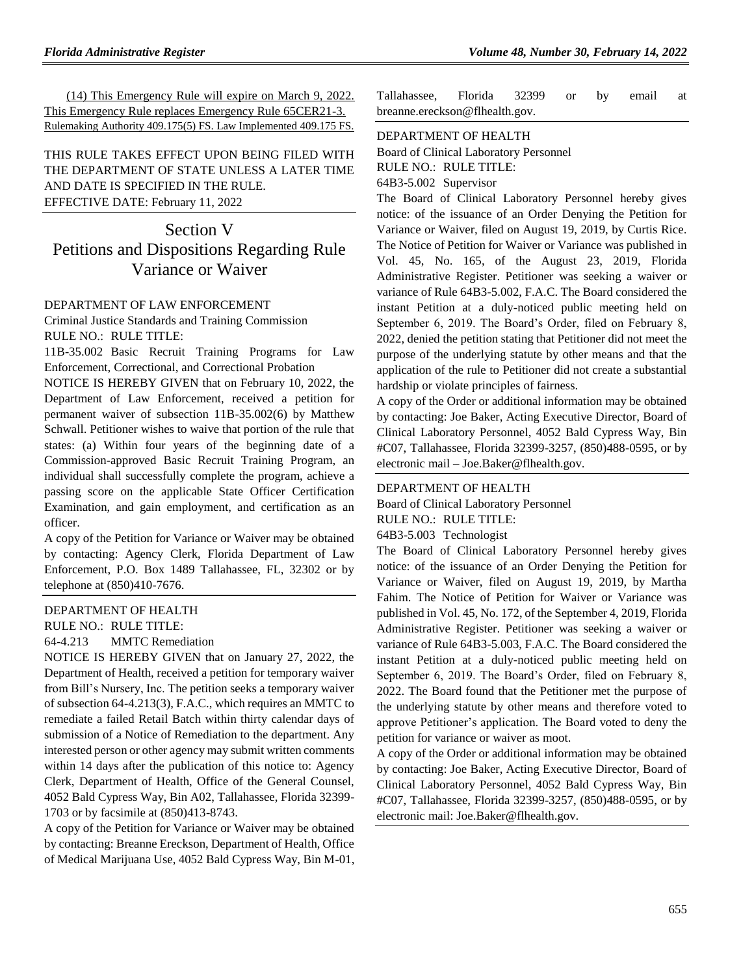(14) This Emergency Rule will expire on March 9, 2022. This Emergency Rule replaces Emergency Rule 65CER21-3. Rulemaking Authority 409.175(5) FS. Law Implemented 409.175 FS.

THIS RULE TAKES EFFECT UPON BEING FILED WITH THE DEPARTMENT OF STATE UNLESS A LATER TIME AND DATE IS SPECIFIED IN THE RULE. EFFECTIVE DATE: February 11, 2022

# Section V Petitions and Dispositions Regarding Rule Variance or Waiver

# [DEPARTMENT OF LAW ENFORCEMENT](https://www.flrules.org/gateway/department.asp?id=11)

[Criminal Justice Standards and Training Commission](https://www.flrules.org/gateway/organization.asp?id=20) RULE NO.: RULE TITLE:

[11B-35.002](https://www.flrules.org/gateway/ruleNo.asp?id=11B-35.002) Basic Recruit Training Programs for Law Enforcement, Correctional, and Correctional Probation

NOTICE IS HEREBY GIVEN that on February 10, 2022, the Department of Law Enforcement, received a petition for permanent waiver of subsection 11B-35.002(6) by Matthew Schwall. Petitioner wishes to waive that portion of the rule that states: (a) Within four years of the beginning date of a Commission-approved Basic Recruit Training Program, an individual shall successfully complete the program, achieve a passing score on the applicable State Officer Certification Examination, and gain employment, and certification as an officer.

A copy of the Petition for Variance or Waiver may be obtained by contacting: Agency Clerk, Florida Department of Law Enforcement, P.O. Box 1489 Tallahassee, FL, 32302 or by telephone at (850)410-7676.

#### [DEPARTMENT OF HEALTH](https://www.flrules.org/gateway/department.asp?id=64)

RULE NO.: RULE TITLE:

[64-4.213](https://www.flrules.org/gateway/ruleNo.asp?id=64-4.213) MMTC Remediation

NOTICE IS HEREBY GIVEN that on January 27, 2022, the Department of Health, received a petition for temporary waiver from Bill's Nursery, Inc. The petition seeks a temporary waiver of subsection 64-4.213(3), F.A.C., which requires an MMTC to remediate a failed Retail Batch within thirty calendar days of submission of a Notice of Remediation to the department. Any interested person or other agency may submit written comments within 14 days after the publication of this notice to: Agency Clerk, Department of Health, Office of the General Counsel, 4052 Bald Cypress Way, Bin A02, Tallahassee, Florida 32399- 1703 or by facsimile at (850)413-8743.

A copy of the Petition for Variance or Waiver may be obtained by contacting: Breanne Ereckson, Department of Health, Office of Medical Marijuana Use, 4052 Bald Cypress Way, Bin M-01, Tallahassee, Florida 32399 or by email at breanne.ereckson@flhealth.gov.

#### [DEPARTMENT OF HEALTH](https://www.flrules.org/gateway/department.asp?id=64)

[Board of Clinical Laboratory Personnel](https://www.flrules.org/gateway/department.asp?id=64)

RULE NO.: [RULE TITLE:](https://www.flrules.org/gateway/department.asp?id=64)

[64B3-5.002](https://www.flrules.org/gateway/department.asp?id=64) Supervisor

[The Board of Clinical Laboratory Personnel hereby gives](https://www.flrules.org/gateway/department.asp?id=64)  [notice: of the issuance of an Order Denying the Petition for](https://www.flrules.org/gateway/department.asp?id=64)  [Variance or Waiver, filed on August 19, 2019, by Curtis Rice.](https://www.flrules.org/gateway/department.asp?id=64)  [The Notice of Petition for Waiver or Variance was published in](https://www.flrules.org/gateway/department.asp?id=64)  [Vol. 45, No. 165, of the August 23, 2019, Florida](https://www.flrules.org/gateway/department.asp?id=64)  [Administrative Register. Petitioner](https://www.flrules.org/gateway/department.asp?id=64) was seeking a waiver or [variance of Rule 64B3-5.002, F.A.C. The Board considered the](https://www.flrules.org/gateway/department.asp?id=64)  [instant Petition at a duly-noticed public meeting held on](https://www.flrules.org/gateway/department.asp?id=64)  [September 6, 2019. The Board's Order, filed on February 8,](https://www.flrules.org/gateway/department.asp?id=64)  [2022, denied the petition stating that Petitioner did](https://www.flrules.org/gateway/department.asp?id=64) not meet the [purpose of the underlying statute by other means and that the](https://www.flrules.org/gateway/department.asp?id=64)  [application of the rule to Petitioner did not create a substantial](https://www.flrules.org/gateway/department.asp?id=64)  [hardship or violate principles of fairness.](https://www.flrules.org/gateway/department.asp?id=64)

[A copy of the Order or additional information may be obtained](https://www.flrules.org/gateway/department.asp?id=64)  [by contacting: Joe Baker, Acting Executive Director, Board of](https://www.flrules.org/gateway/department.asp?id=64)  [Clinical Laboratory Personnel, 4052 Bald Cypress Way, Bin](https://www.flrules.org/gateway/department.asp?id=64)  [#C07, Tallahassee, Florida 32399-3257, \(850\)488-0595, or by](https://www.flrules.org/gateway/department.asp?id=64)  electronic mail – [Joe.Baker@flhealth.gov.](https://www.flrules.org/gateway/department.asp?id=64)

#### [DEPARTMENT OF HEALTH](https://www.flrules.org/gateway/department.asp?id=64)

[Board of Clinical Laboratory Personnel](https://www.flrules.org/gateway/organization.asp?id=322)

RULE NO.: [RULE TITLE:](https://www.flrules.org/gateway/department.asp?id=64)

[64B3-5.003](https://www.flrules.org/gateway/department.asp?id=64) Technologist

[The Board of Clinical Laboratory Personnel hereby gives](https://www.flrules.org/gateway/department.asp?id=64)  [notice: of the issuance of an Order Denying the Petition for](https://www.flrules.org/gateway/department.asp?id=64)  [Variance or Waiver, filed on August 19, 2019, by Martha](https://www.flrules.org/gateway/department.asp?id=64)  [Fahim. The Notice of Petition for Waiver or Variance was](https://www.flrules.org/gateway/department.asp?id=64)  [published in Vol. 45, No. 172, of the September 4, 2019, Florida](https://www.flrules.org/gateway/department.asp?id=64)  [Administrative Register. Petitioner was seeking a waiver or](https://www.flrules.org/gateway/department.asp?id=64)  [variance of Rule 64B3-5.003, F.A.C. The Board considered the](https://www.flrules.org/gateway/department.asp?id=64)  [instant Petition at a duly-noticed public meeting held on](https://www.flrules.org/gateway/department.asp?id=64)  [September 6, 2019. The Board's Order, filed on February 8,](https://www.flrules.org/gateway/department.asp?id=64)  [2022. The Board found that the Petitioner met the purpose of](https://www.flrules.org/gateway/department.asp?id=64)  [the underlying statute by other means and therefore voted to](https://www.flrules.org/gateway/department.asp?id=64)  [approve Petitioner's application. The Board voted to deny the](https://www.flrules.org/gateway/department.asp?id=64)  [petition for variance or waiver as moot.](https://www.flrules.org/gateway/department.asp?id=64)

[A copy of the Order or additional information may be obtained](https://www.flrules.org/gateway/department.asp?id=64)  [by contacting: Joe Baker, Acting Executive Director, Board of](https://www.flrules.org/gateway/department.asp?id=64)  [Clinical Laboratory Personnel, 4052 Bald Cypress Way, Bin](https://www.flrules.org/gateway/department.asp?id=64)  [#C07, Tallahassee, Florida 32399-3257, \(850\)488-0595, or by](https://www.flrules.org/gateway/department.asp?id=64)  [electronic mail: Joe.Baker@flhealth.gov.](https://www.flrules.org/gateway/department.asp?id=64)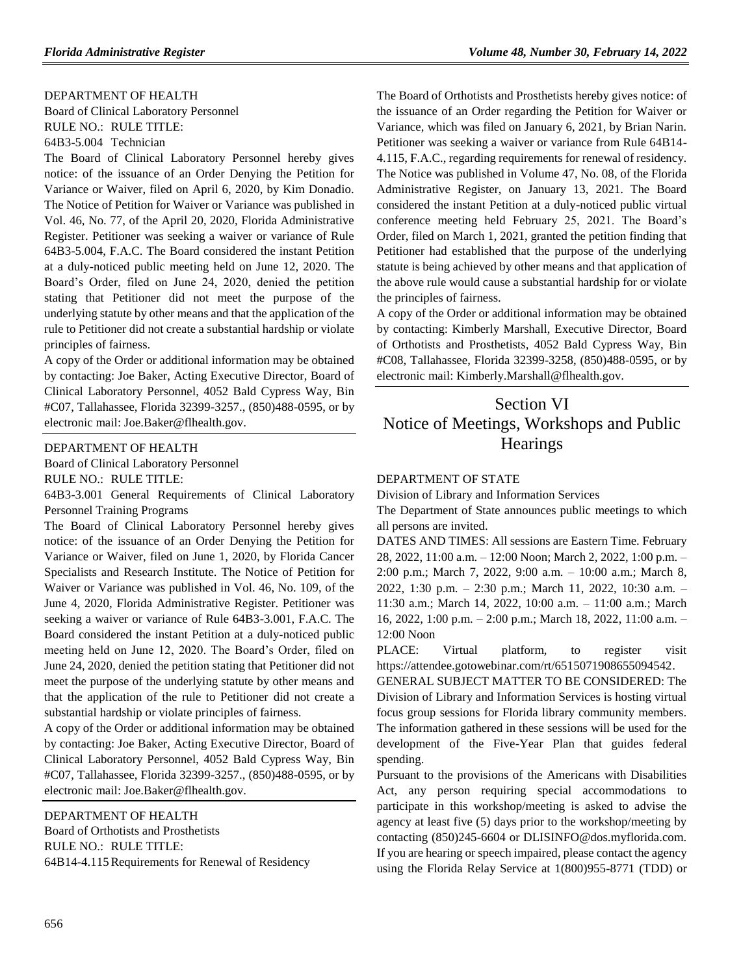#### [DEPARTMENT OF HEALTH](https://www.flrules.org/gateway/department.asp?id=64)

[Board of Clinical Laboratory Personnel](https://www.flrules.org/gateway/organization.asp?id=322) RULE NO.: [RULE TITLE:](https://www.flrules.org/gateway/department.asp?id=64) [64B3-5.004](https://www.flrules.org/gateway/department.asp?id=64) Technician

[The Board of Clinical Laboratory Personnel hereby gives](https://www.flrules.org/gateway/department.asp?id=64)  [notice: of the issuance of an Order Denying the Petition for](https://www.flrules.org/gateway/department.asp?id=64)  [Variance or Waiver, filed on April 6, 2020, by Kim Donadio.](https://www.flrules.org/gateway/department.asp?id=64)  [The Notice of Petition for Waiver or Variance was published in](https://www.flrules.org/gateway/department.asp?id=64)  [Vol. 46, No. 77, of the April 20, 2020, Florida Administrative](https://www.flrules.org/gateway/department.asp?id=64)  [Register. Petitioner was seeking a waiver or variance of Rule](https://www.flrules.org/gateway/department.asp?id=64)  [64B3-5.004, F.A.C. The Board considered the instant Petition](https://www.flrules.org/gateway/department.asp?id=64)  [at a duly-noticed public meeting held on June 12, 2020. The](https://www.flrules.org/gateway/department.asp?id=64)  [Board's Order, filed on June 24, 2020, denied the petition](https://www.flrules.org/gateway/department.asp?id=64)  [stating that Petitioner did not meet the purpose of the](https://www.flrules.org/gateway/department.asp?id=64)  [underlying statute by other means and that the application of the](https://www.flrules.org/gateway/department.asp?id=64)  [rule to Petitioner did not create a substantial hardship or violate](https://www.flrules.org/gateway/department.asp?id=64)  [principles of fairness.](https://www.flrules.org/gateway/department.asp?id=64)

[A copy of the Order or additional information may be obtained](https://www.flrules.org/gateway/department.asp?id=64)  [by contacting: Joe Baker, Acting Executive Director, Board of](https://www.flrules.org/gateway/department.asp?id=64)  [Clinical Laboratory Personnel, 4052 Bald Cypress Way, Bin](https://www.flrules.org/gateway/department.asp?id=64)  [#C07, Tallahassee, Florida 32399-3257., \(850\)488-0595, or by](https://www.flrules.org/gateway/department.asp?id=64)  [electronic mail: Joe.Baker@flhealth.gov.](https://www.flrules.org/gateway/department.asp?id=64)

#### [DEPARTMENT OF HEALTH](https://www.flrules.org/gateway/department.asp?id=64)

[Board of Clinical Laboratory Personnel](https://www.flrules.org/gateway/organization.asp?id=322)

RULE NO.: RULE TITLE:

[64B3-3.001](https://www.flrules.org/gateway/ruleNo.asp?id=64B3-3.001) General Requirements of Clinical Laboratory Personnel Training Programs

The Board of Clinical Laboratory Personnel hereby gives notice: of the issuance of an Order Denying the Petition for Variance or Waiver, filed on June 1, 2020, by Florida Cancer Specialists and Research Institute. The Notice of Petition for Waiver or Variance was published in Vol. 46, No. 109, of the June 4, 2020, Florida Administrative Register. Petitioner was seeking a waiver or variance of Rule 64B3-3.001, F.A.C. The Board considered the instant Petition at a duly-noticed public meeting held on June 12, 2020. The Board's Order, filed on June 24, 2020, denied the petition stating that Petitioner did not meet the purpose of the underlying statute by other means and that the application of the rule to Petitioner did not create a substantial hardship or violate principles of fairness.

A copy of the Order or additional information may be obtained by contacting: Joe Baker, Acting Executive Director, Board of Clinical Laboratory Personnel, 4052 Bald Cypress Way, Bin #C07, Tallahassee, Florida 32399-3257., (850)488-0595, or by electronic mail: Joe.Baker@flhealth.gov.

#### [DEPARTMENT OF HEALTH](https://www.flrules.org/gateway/department.asp?id=64)

[Board of Orthotists and Prosthetists](https://www.flrules.org/gateway/organization.asp?id=305) RULE NO.: RULE TITLE: [64B14-4.115R](https://www.flrules.org/gateway/ruleNo.asp?id=64B14-4.115)equirements for Renewal of Residency The Board of Orthotists and Prosthetists hereby gives notice: of the issuance of an Order regarding the Petition for Waiver or Variance, which was filed on January 6, 2021, by Brian Narin. Petitioner was seeking a waiver or variance from Rule 64B14- 4.115, F.A.C., regarding requirements for renewal of residency. The Notice was published in Volume 47, No. 08, of the Florida Administrative Register, on January 13, 2021. The Board considered the instant Petition at a duly-noticed public virtual conference meeting held February 25, 2021. The Board's Order, filed on March 1, 2021, granted the petition finding that Petitioner had established that the purpose of the underlying statute is being achieved by other means and that application of the above rule would cause a substantial hardship for or violate the principles of fairness.

A copy of the Order or additional information may be obtained by contacting: Kimberly Marshall, Executive Director, Board of Orthotists and Prosthetists, 4052 Bald Cypress Way, Bin #C08, Tallahassee, Florida 32399-3258, (850)488-0595, or by electronic mail: Kimberly.Marshall@flhealth.gov.

# Section VI Notice of Meetings, Workshops and Public **Hearings**

#### DEPARTMENT OF STATE

Division of Library and Information Services

The Department of State announces public meetings to which all persons are invited.

DATES AND TIMES: All sessions are Eastern Time. February 28, 2022, 11:00 a.m. – 12:00 Noon; March 2, 2022, 1:00 p.m. – 2:00 p.m.; March 7, 2022, 9:00 a.m. – 10:00 a.m.; March 8, 2022, 1:30 p.m. – 2:30 p.m.; March 11, 2022, 10:30 a.m. – 11:30 a.m.; March 14, 2022, 10:00 a.m. – 11:00 a.m.; March 16, 2022, 1:00 p.m. – 2:00 p.m.; March 18, 2022, 11:00 a.m. – 12:00 Noon

PLACE: Virtual platform, to register visit [https://attendee.gotowebinar.com/rt/6515071908655094542.](https://attendee.gotowebinar.com/rt/6515071908655094542)

GENERAL SUBJECT MATTER TO BE CONSIDERED: The Division of Library and Information Services is hosting virtual focus group sessions for Florida library community members. The information gathered in these sessions will be used for the development of the Five-Year Plan that guides federal spending.

Pursuant to the provisions of the Americans with Disabilities Act, any person requiring special accommodations to participate in this workshop/meeting is asked to advise the agency at least five (5) days prior to the workshop/meeting by contacting (850)245-6604 or DLISINFO@dos.myflorida.com. If you are hearing or speech impaired, please contact the agency using the Florida Relay Service at 1(800)955-8771 (TDD) or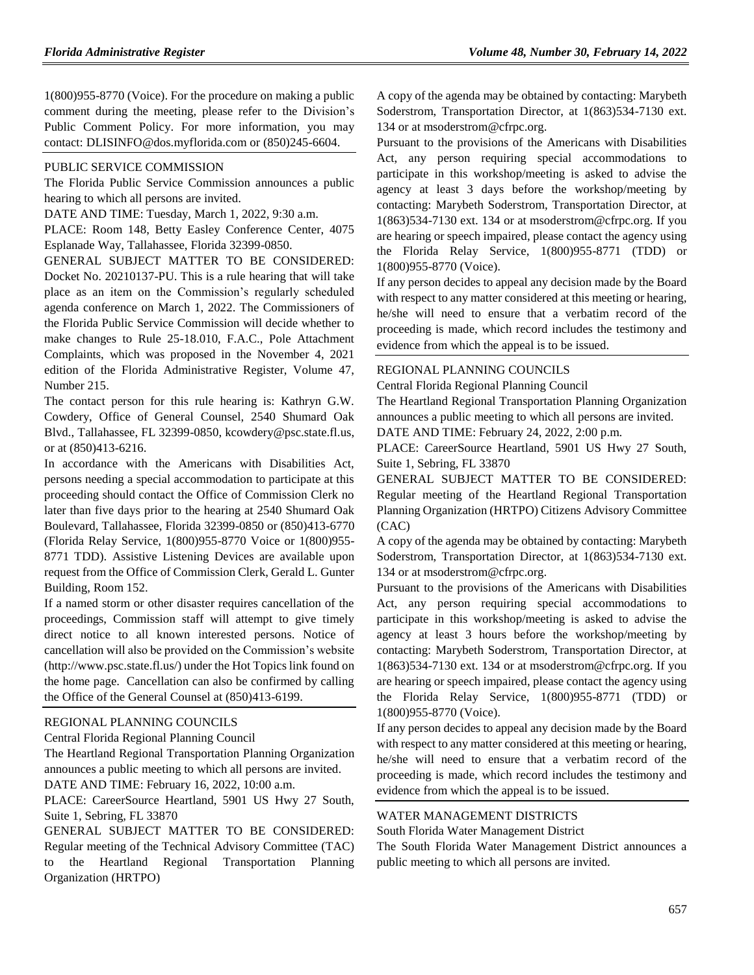1(800)955-8770 (Voice). For the procedure on making a public comment during the meeting, please refer to the [Division's](http://dos.myflorida.com/library-archives/meetings-and-notices/public-comment-policy/) [Public Comment Policy.](http://dos.myflorida.com/library-archives/meetings-and-notices/public-comment-policy/) For more information, you may contact: [DLISINFO@dos.myflorida.com](mailto:DLISINFO@dos.myflorida.com) or (850)245-6604.

#### [PUBLIC SERVICE COMMISSION](https://www.flrules.org/gateway/department.asp?id=25)

The Florida Public Service Commission announces a public hearing to which all persons are invited.

DATE AND TIME: Tuesday, March 1, 2022, 9:30 a.m.

PLACE: Room 148, Betty Easley Conference Center, 4075 Esplanade Way, Tallahassee, Florida 32399-0850.

GENERAL SUBJECT MATTER TO BE CONSIDERED: Docket No. 20210137-PU. This is a rule hearing that will take place as an item on the Commission's regularly scheduled agenda conference on March 1, 2022. The Commissioners of the Florida Public Service Commission will decide whether to make changes to Rule 25-18.010, F.A.C., Pole Attachment Complaints, which was proposed in the November 4, 2021 edition of the Florida Administrative Register, Volume 47, Number 215.

The contact person for this rule hearing is: Kathryn G.W. Cowdery, Office of General Counsel, 2540 Shumard Oak Blvd., Tallahassee, FL 32399-0850[, kcowdery@psc.state.fl.us,](mailto:kcowdery@psc.state.fl.us) or at (850)413-6216.

In accordance with the Americans with Disabilities Act, persons needing a special accommodation to participate at this proceeding should contact the Office of Commission Clerk no later than five days prior to the hearing at 2540 Shumard Oak Boulevard, Tallahassee, Florida 32399-0850 or (850)413-6770 (Florida Relay Service, 1(800)955-8770 Voice or 1(800)955- 8771 TDD). Assistive Listening Devices are available upon request from the Office of Commission Clerk, Gerald L. Gunter Building, Room 152.

If a named storm or other disaster requires cancellation of the proceedings, Commission staff will attempt to give timely direct notice to all known interested persons. Notice of cancellation will also be provided on the Commission's website (http://www.psc.state.fl.us/) under the Hot Topics link found on the home page. Cancellation can also be confirmed by calling the Office of the General Counsel at (850)413-6199.

#### [REGIONAL PLANNING COUNCILS](https://www.flrules.org/gateway/department.asp?id=29)

[Central Florida Regional Planning Council](https://www.flrules.org/gateway/organization.asp?id=63)

The Heartland Regional Transportation Planning Organization announces a public meeting to which all persons are invited. DATE AND TIME: February 16, 2022, 10:00 a.m.

PLACE: CareerSource Heartland, 5901 US Hwy 27 South, Suite 1, Sebring, FL 33870

GENERAL SUBJECT MATTER TO BE CONSIDERED: Regular meeting of the Technical Advisory Committee (TAC) to the Heartland Regional Transportation Planning Organization (HRTPO)

A copy of the agenda may be obtained by contacting: Marybeth Soderstrom, Transportation Director, at 1(863)534-7130 ext. 134 or at msoderstrom@cfrpc.org.

Pursuant to the provisions of the Americans with Disabilities Act, any person requiring special accommodations to participate in this workshop/meeting is asked to advise the agency at least 3 days before the workshop/meeting by contacting: Marybeth Soderstrom, Transportation Director, at 1(863)534-7130 ext. 134 or at msoderstrom@cfrpc.org. If you are hearing or speech impaired, please contact the agency using the Florida Relay Service, 1(800)955-8771 (TDD) or 1(800)955-8770 (Voice).

If any person decides to appeal any decision made by the Board with respect to any matter considered at this meeting or hearing, he/she will need to ensure that a verbatim record of the proceeding is made, which record includes the testimony and evidence from which the appeal is to be issued.

#### [REGIONAL PLANNING COUNCILS](https://www.flrules.org/gateway/department.asp?id=29)

[Central Florida Regional Planning Council](https://www.flrules.org/gateway/organization.asp?id=63)

The Heartland Regional Transportation Planning Organization announces a public meeting to which all persons are invited.

DATE AND TIME: February 24, 2022, 2:00 p.m.

PLACE: CareerSource Heartland, 5901 US Hwy 27 South, Suite 1, Sebring, FL 33870

GENERAL SUBJECT MATTER TO BE CONSIDERED: Regular meeting of the Heartland Regional Transportation Planning Organization (HRTPO) Citizens Advisory Committee (CAC)

A copy of the agenda may be obtained by contacting: Marybeth Soderstrom, Transportation Director, at 1(863)534-7130 ext. 134 or at msoderstrom@cfrpc.org.

Pursuant to the provisions of the Americans with Disabilities Act, any person requiring special accommodations to participate in this workshop/meeting is asked to advise the agency at least 3 hours before the workshop/meeting by contacting: Marybeth Soderstrom, Transportation Director, at 1(863)534-7130 ext. 134 or at msoderstrom@cfrpc.org. If you are hearing or speech impaired, please contact the agency using the Florida Relay Service, 1(800)955-8771 (TDD) or 1(800)955-8770 (Voice).

If any person decides to appeal any decision made by the Board with respect to any matter considered at this meeting or hearing, he/she will need to ensure that a verbatim record of the proceeding is made, which record includes the testimony and evidence from which the appeal is to be issued.

### [WATER MANAGEMENT DISTRICTS](https://www.flrules.org/gateway/department.asp?id=40)

[South Florida Water Management District](https://www.flrules.org/gateway/organization.asp?id=124)

The South Florida Water Management District announces a public meeting to which all persons are invited.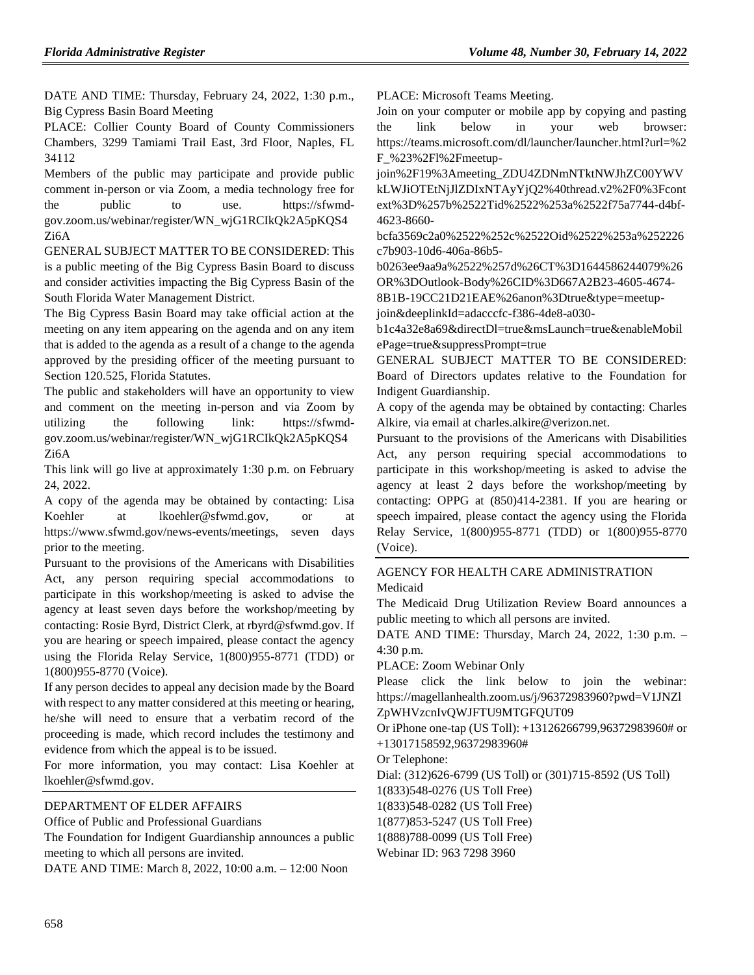DATE AND TIME: Thursday, February 24, 2022, 1:30 p.m., Big Cypress Basin Board Meeting

PLACE: Collier County Board of County Commissioners Chambers, 3299 Tamiami Trail East, 3rd Floor, Naples, FL 34112

Members of the public may participate and provide public comment in-person or via Zoom, a media technology free for the public to use. https://sfwmdgov.zoom.us/webinar/register/WN\_wjG1RCIkQk2A5pKQS4 Zi6A

GENERAL SUBJECT MATTER TO BE CONSIDERED: This is a public meeting of the Big Cypress Basin Board to discuss and consider activities impacting the Big Cypress Basin of the South Florida Water Management District.

The Big Cypress Basin Board may take official action at the meeting on any item appearing on the agenda and on any item that is added to the agenda as a result of a change to the agenda approved by the presiding officer of the meeting pursuant to Section 120.525, Florida Statutes.

The public and stakeholders will have an opportunity to view and comment on the meeting in-person and via Zoom by utilizing the following link: https://sfwmdgov.zoom.us/webinar/register/WN\_wjG1RCIkQk2A5pKQS4 Zi6A

This link will go live at approximately 1:30 p.m. on February 24, 2022.

A copy of the agenda may be obtained by contacting: Lisa Koehler at lkoehler@sfwmd.gov, or at https://www.sfwmd.gov/news-events/meetings, seven days prior to the meeting.

Pursuant to the provisions of the Americans with Disabilities Act, any person requiring special accommodations to participate in this workshop/meeting is asked to advise the agency at least seven days before the workshop/meeting by contacting: Rosie Byrd, District Clerk, at rbyrd@sfwmd.gov. If you are hearing or speech impaired, please contact the agency using the Florida Relay Service, 1(800)955-8771 (TDD) or 1(800)955-8770 (Voice).

If any person decides to appeal any decision made by the Board with respect to any matter considered at this meeting or hearing, he/she will need to ensure that a verbatim record of the proceeding is made, which record includes the testimony and evidence from which the appeal is to be issued.

For more information, you may contact: Lisa Koehler at lkoehler@sfwmd.gov.

# [DEPARTMENT OF ELDER AFFAIRS](https://www.flrules.org/gateway/department.asp?id=58)

[Office of Public and Professional Guardians](https://www.flrules.org/gateway/organization.asp?id=185)

The Foundation for Indigent Guardianship announces a public meeting to which all persons are invited.

DATE AND TIME: March 8, 2022, 10:00 a.m. – 12:00 Noon

PLACE: Microsoft Teams Meeting.

Join on your computer or mobile app by copying and pasting the link below in your web browser: https://teams.microsoft.com/dl/launcher/launcher.html?url=%2 F\_%23%2Fl%2Fmeetup-

join%2F19%3Ameeting\_ZDU4ZDNmNTktNWJhZC00YWV kLWJiOTEtNjJlZDIxNTAyYjQ2%40thread.v2%2F0%3Fcont ext%3D%257b%2522Tid%2522%253a%2522f75a7744-d4bf-4623-8660-

bcfa3569c2a0%2522%252c%2522Oid%2522%253a%252226 c7b903-10d6-406a-86b5-

b0263ee9aa9a%2522%257d%26CT%3D1644586244079%26 OR%3DOutlook-Body%26CID%3D667A2B23-4605-4674-

8B1B-19CC21D21EAE%26anon%3Dtrue&type=meetupjoin&deeplinkId=adacccfc-f386-4de8-a030-

b1c4a32e8a69&directDl=true&msLaunch=true&enableMobil ePage=true&suppressPrompt=true

GENERAL SUBJECT MATTER TO BE CONSIDERED: Board of Directors updates relative to the Foundation for Indigent Guardianship.

A copy of the agenda may be obtained by contacting: Charles Alkire, via email at charles.alkire@verizon.net.

Pursuant to the provisions of the Americans with Disabilities Act, any person requiring special accommodations to participate in this workshop/meeting is asked to advise the agency at least 2 days before the workshop/meeting by contacting: OPPG at (850)414-2381. If you are hearing or speech impaired, please contact the agency using the Florida Relay Service, 1(800)955-8771 (TDD) or 1(800)955-8770 (Voice).

[AGENCY FOR HEALTH CARE ADMINISTRATION](https://www.flrules.org/gateway/department.asp?id=59) [Medicaid](https://www.flrules.org/gateway/organization.asp?id=192)

The Medicaid Drug Utilization Review Board announces a public meeting to which all persons are invited.

DATE AND TIME: Thursday, March 24, 2022, 1:30 p.m. – 4:30 p.m.

PLACE: Zoom Webinar Only

Please click the link below to join the webinar: https://magellanhealth.zoom.us/j/96372983960?pwd=V1JNZl ZpWHVzcnIvQWJFTU9MTGFQUT09

Or iPhone one-tap (US Toll): +13126266799,96372983960# or +13017158592,96372983960#

Or Telephone:

Dial: (312)626-6799 (US Toll) or (301)715-8592 (US Toll)

1(833)548-0276 (US Toll Free)

1(833)548-0282 (US Toll Free)

1(877)853-5247 (US Toll Free)

1(888)788-0099 (US Toll Free)

Webinar ID: 963 7298 3960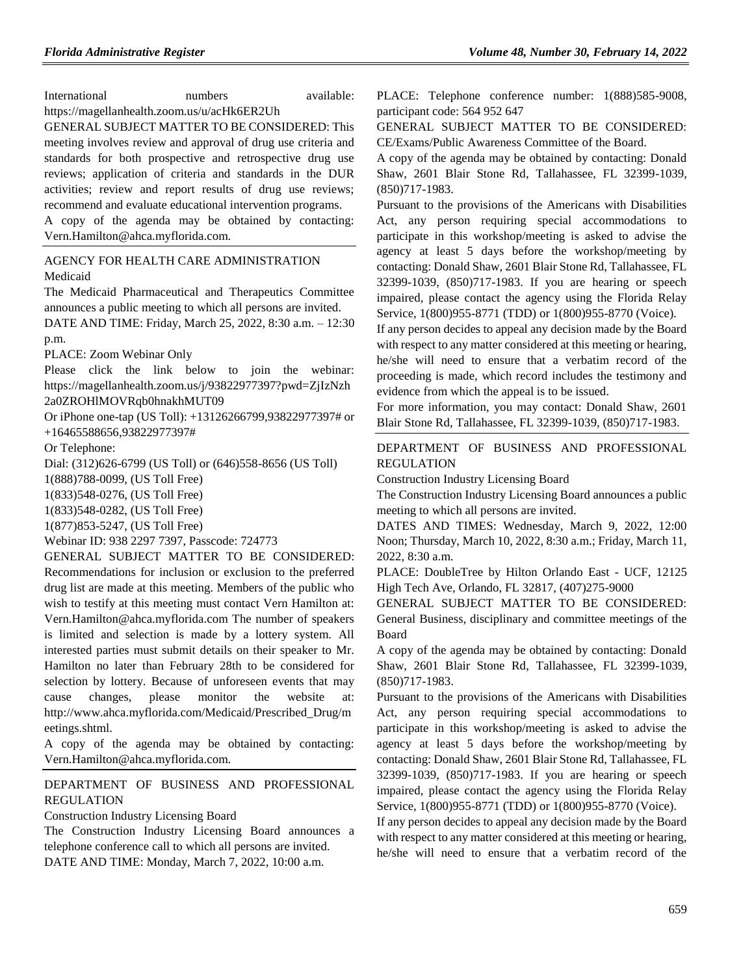International numbers available: https://magellanhealth.zoom.us/u/acHk6ER2Uh

GENERAL SUBJECT MATTER TO BE CONSIDERED: This meeting involves review and approval of drug use criteria and standards for both prospective and retrospective drug use reviews; application of criteria and standards in the DUR activities; review and report results of drug use reviews; recommend and evaluate educational intervention programs.

A copy of the agenda may be obtained by contacting: Vern.Hamilton@ahca.myflorida.com.

# [AGENCY FOR HEALTH CARE ADMINISTRATION](https://www.flrules.org/gateway/department.asp?id=59) [Medicaid](https://www.flrules.org/gateway/organization.asp?id=192)

The Medicaid Pharmaceutical and Therapeutics Committee announces a public meeting to which all persons are invited.

DATE AND TIME: Friday, March 25, 2022, 8:30 a.m. – 12:30 p.m.

PLACE: Zoom Webinar Only

Please click the link below to join the webinar: https://magellanhealth.zoom.us/j/93822977397?pwd=ZjIzNzh 2a0ZROHlMOVRqb0hnakhMUT09

Or iPhone one-tap (US Toll): +13126266799,93822977397# or +16465588656,93822977397#

Or Telephone:

Dial: (312)626-6799 (US Toll) or (646)558-8656 (US Toll)

1(888)788-0099, (US Toll Free)

1(833)548-0276, (US Toll Free)

1(833)548-0282, (US Toll Free)

1(877)853-5247, (US Toll Free)

Webinar ID: 938 2297 7397, Passcode: 724773

GENERAL SUBJECT MATTER TO BE CONSIDERED: Recommendations for inclusion or exclusion to the preferred drug list are made at this meeting. Members of the public who wish to testify at this meeting must contact Vern Hamilton at: Vern.Hamilton@ahca.myflorida.com The number of speakers is limited and selection is made by a lottery system. All interested parties must submit details on their speaker to Mr. Hamilton no later than February 28th to be considered for selection by lottery. Because of unforeseen events that may cause changes, please monitor the website at: http://www.ahca.myflorida.com/Medicaid/Prescribed\_Drug/m eetings.shtml.

A copy of the agenda may be obtained by contacting: Vern.Hamilton@ahca.myflorida.com.

[DEPARTMENT OF BUSINESS AND PROFESSIONAL](https://www.flrules.org/gateway/department.asp?id=61)  [REGULATION](https://www.flrules.org/gateway/department.asp?id=61)

[Construction Industry Licensing Board](https://www.flrules.org/gateway/organization.asp?id=274)

The Construction Industry Licensing Board announces a telephone conference call to which all persons are invited. DATE AND TIME: Monday, March 7, 2022, 10:00 a.m.

PLACE: Telephone conference number: 1(888)585-9008, participant code: 564 952 647

GENERAL SUBJECT MATTER TO BE CONSIDERED: CE/Exams/Public Awareness Committee of the Board.

A copy of the agenda may be obtained by contacting: Donald Shaw, 2601 Blair Stone Rd, Tallahassee, FL 32399-1039, (850)717-1983.

Pursuant to the provisions of the Americans with Disabilities Act, any person requiring special accommodations to participate in this workshop/meeting is asked to advise the agency at least 5 days before the workshop/meeting by contacting: Donald Shaw, 2601 Blair Stone Rd, Tallahassee, FL 32399-1039, (850)717-1983. If you are hearing or speech impaired, please contact the agency using the Florida Relay Service, 1(800)955-8771 (TDD) or 1(800)955-8770 (Voice).

If any person decides to appeal any decision made by the Board with respect to any matter considered at this meeting or hearing, he/she will need to ensure that a verbatim record of the proceeding is made, which record includes the testimony and evidence from which the appeal is to be issued.

For more information, you may contact: Donald Shaw, 2601 Blair Stone Rd, Tallahassee, FL 32399-1039, (850)717-1983.

[DEPARTMENT OF BUSINESS AND PROFESSIONAL](https://www.flrules.org/gateway/department.asp?id=61)  [REGULATION](https://www.flrules.org/gateway/department.asp?id=61)

[Construction Industry Licensing Board](https://www.flrules.org/gateway/organization.asp?id=274)

The Construction Industry Licensing Board announces a public meeting to which all persons are invited.

DATES AND TIMES: Wednesday, March 9, 2022, 12:00 Noon; Thursday, March 10, 2022, 8:30 a.m.; Friday, March 11, 2022, 8:30 a.m.

PLACE: DoubleTree by Hilton Orlando East - UCF, 12125 High Tech Ave, Orlando, FL 32817, (407)275-9000

GENERAL SUBJECT MATTER TO BE CONSIDERED: General Business, disciplinary and committee meetings of the Board

A copy of the agenda may be obtained by contacting: Donald Shaw, 2601 Blair Stone Rd, Tallahassee, FL 32399-1039, (850)717-1983.

Pursuant to the provisions of the Americans with Disabilities Act, any person requiring special accommodations to participate in this workshop/meeting is asked to advise the agency at least 5 days before the workshop/meeting by contacting: Donald Shaw, 2601 Blair Stone Rd, Tallahassee, FL 32399-1039, (850)717-1983. If you are hearing or speech impaired, please contact the agency using the Florida Relay Service, 1(800)955-8771 (TDD) or 1(800)955-8770 (Voice).

If any person decides to appeal any decision made by the Board with respect to any matter considered at this meeting or hearing, he/she will need to ensure that a verbatim record of the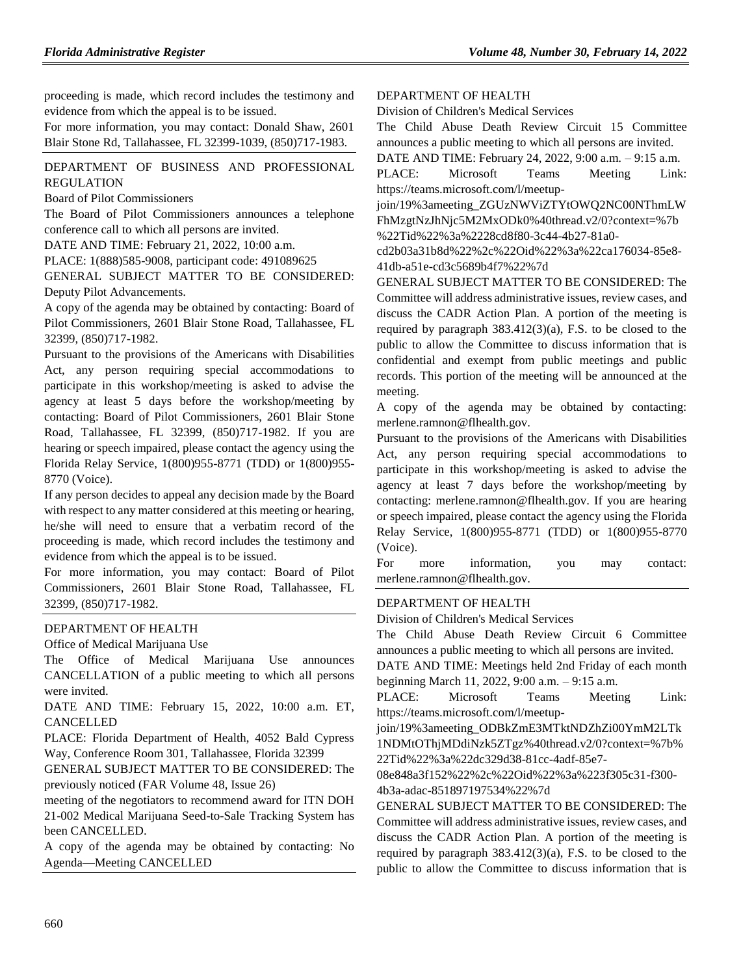proceeding is made, which record includes the testimony and evidence from which the appeal is to be issued.

For more information, you may contact: Donald Shaw, 2601 Blair Stone Rd, Tallahassee, FL 32399-1039, (850)717-1983.

# [DEPARTMENT OF BUSINESS AND PROFESSIONAL](https://www.flrules.org/gateway/department.asp?id=61)  [REGULATION](https://www.flrules.org/gateway/department.asp?id=61)

[Board of Pilot Commissioners](https://www.flrules.org/gateway/organization.asp?id=266)

The Board of Pilot Commissioners announces a telephone conference call to which all persons are invited.

DATE AND TIME: February 21, 2022, 10:00 a.m.

PLACE: 1(888)585-9008, participant code: 491089625

GENERAL SUBJECT MATTER TO BE CONSIDERED: Deputy Pilot Advancements.

A copy of the agenda may be obtained by contacting: Board of Pilot Commissioners, 2601 Blair Stone Road, Tallahassee, FL 32399, (850)717-1982.

Pursuant to the provisions of the Americans with Disabilities Act, any person requiring special accommodations to participate in this workshop/meeting is asked to advise the agency at least 5 days before the workshop/meeting by contacting: Board of Pilot Commissioners, 2601 Blair Stone Road, Tallahassee, FL 32399, (850)717-1982. If you are hearing or speech impaired, please contact the agency using the Florida Relay Service, 1(800)955-8771 (TDD) or 1(800)955- 8770 (Voice).

If any person decides to appeal any decision made by the Board with respect to any matter considered at this meeting or hearing, he/she will need to ensure that a verbatim record of the proceeding is made, which record includes the testimony and evidence from which the appeal is to be issued.

For more information, you may contact: Board of Pilot Commissioners, 2601 Blair Stone Road, Tallahassee, FL 32399, (850)717-1982.

# [DEPARTMENT OF HEALTH](https://www.flrules.org/gateway/department.asp?id=64)

[Office](https://www.flrules.org/gateway/organization.asp?id=305) of Medical Marijuana Use

The Office of Medical Marijuana Use announces CANCELLATION of a public meeting to which all persons were invited.

DATE AND TIME: February 15, 2022, 10:00 a.m. ET, CANCELLED

PLACE: Florida Department of Health, 4052 Bald Cypress Way, Conference Room 301, Tallahassee, Florida 32399

GENERAL SUBJECT MATTER TO BE CONSIDERED: The previously noticed (FAR Volume 48, Issue 26)

meeting of the negotiators to recommend award for ITN DOH 21-002 Medical Marijuana Seed-to-Sale Tracking System has been CANCELLED.

A copy of the agenda may be obtained by contacting: No Agenda—Meeting CANCELLED

[DEPARTMENT OF HEALTH](https://www.flrules.org/gateway/department.asp?id=64)

[Division of Children's Medical Services](https://www.flrules.org/gateway/organization.asp?id=333)

The Child Abuse Death Review Circuit 15 Committee announces a public meeting to which all persons are invited.

DATE AND TIME: February 24, 2022, 9:00 a.m. – 9:15 a.m. PLACE: Microsoft Teams Meeting Link: https://teams.microsoft.com/l/meetup-

join/19%3ameeting\_ZGUzNWViZTYtOWQ2NC00NThmLW FhMzgtNzJhNjc5M2MxODk0%40thread.v2/0?context=%7b %22Tid%22%3a%2228cd8f80-3c44-4b27-81a0-

cd2b03a31b8d%22%2c%22Oid%22%3a%22ca176034-85e8- 41db-a51e-cd3c5689b4f7%22%7d

GENERAL SUBJECT MATTER TO BE CONSIDERED: The Committee will address administrative issues, review cases, and discuss the CADR Action Plan. A portion of the meeting is required by paragraph 383.412(3)(a), F.S. to be closed to the public to allow the Committee to discuss information that is confidential and exempt from public meetings and public records. This portion of the meeting will be announced at the meeting.

A copy of the agenda may be obtained by contacting: merlene.ramnon@flhealth.gov.

Pursuant to the provisions of the Americans with Disabilities Act, any person requiring special accommodations to participate in this workshop/meeting is asked to advise the agency at least 7 days before the workshop/meeting by contacting: merlene.ramnon@flhealth.gov. If you are hearing or speech impaired, please contact the agency using the Florida Relay Service, 1(800)955-8771 (TDD) or 1(800)955-8770 (Voice).

For more information, you may contact: merlene.ramnon@flhealth.gov.

# [DEPARTMENT OF HEALTH](https://www.flrules.org/gateway/department.asp?id=64)

[Division of Children's Medical Services](https://www.flrules.org/gateway/organization.asp?id=333)

The Child Abuse Death Review Circuit 6 Committee announces a public meeting to which all persons are invited.

DATE AND TIME: Meetings held 2nd Friday of each month beginning March 11, 2022, 9:00 a.m. – 9:15 a.m.

PLACE: Microsoft Teams Meeting Link: https://teams.microsoft.com/l/meetup-

join/19%3ameeting\_ODBkZmE3MTktNDZhZi00YmM2LTk 1NDMtOThjMDdiNzk5ZTgz%40thread.v2/0?context=%7b% 22Tid%22%3a%22dc329d38-81cc-4adf-85e7-

08e848a3f152%22%2c%22Oid%22%3a%223f305c31-f300- 4b3a-adac-851897197534%22%7d

GENERAL SUBJECT MATTER TO BE CONSIDERED: The Committee will address administrative issues, review cases, and discuss the CADR Action Plan. A portion of the meeting is required by paragraph 383.412(3)(a), F.S. to be closed to the public to allow the Committee to discuss information that is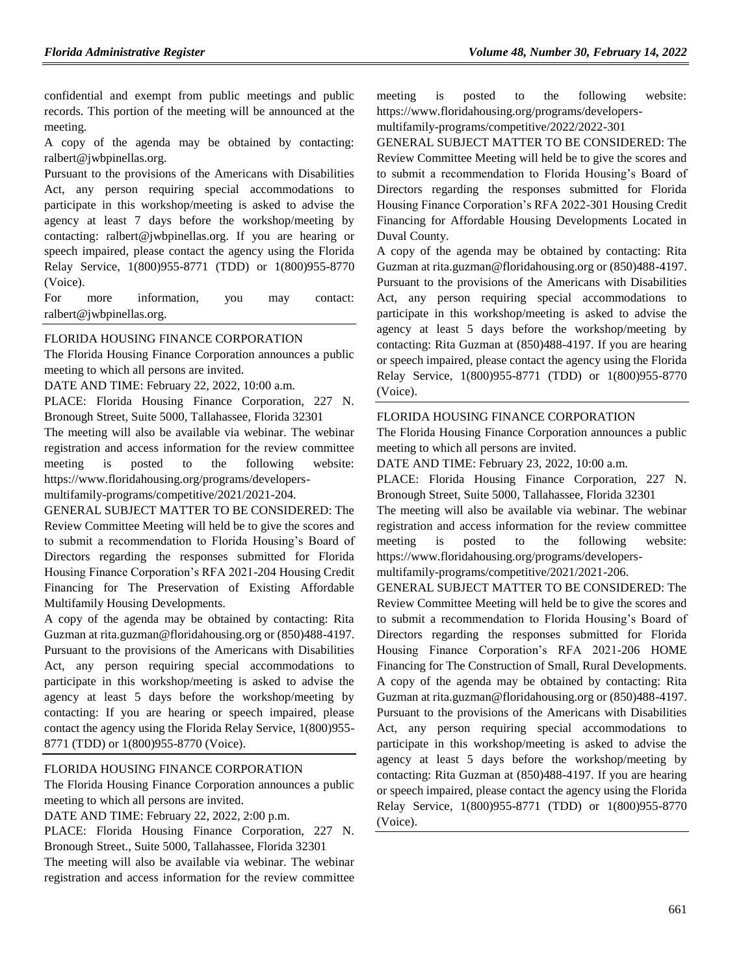confidential and exempt from public meetings and public records. This portion of the meeting will be announced at the meeting.

A copy of the agenda may be obtained by contacting: ralbert@jwbpinellas.org.

Pursuant to the provisions of the Americans with Disabilities Act, any person requiring special accommodations to participate in this workshop/meeting is asked to advise the agency at least 7 days before the workshop/meeting by contacting: ralbert@jwbpinellas.org. If you are hearing or speech impaired, please contact the agency using the Florida Relay Service, 1(800)955-8771 (TDD) or 1(800)955-8770 (Voice).

For more information, you may contact: ralbert@jwbpinellas.org.

# [FLORIDA HOUSING FINANCE CORPORATION](https://www.flrules.org/gateway/department.asp?id=67)

The Florida Housing Finance Corporation announces a public meeting to which all persons are invited.

DATE AND TIME: February 22, 2022, 10:00 a.m.

PLACE: Florida Housing Finance Corporation, 227 N. Bronough Street, Suite 5000, Tallahassee, Florida 32301

The meeting will also be available via webinar. The webinar registration and access information for the review committee meeting is posted to the following website: https://www.floridahousing.org/programs/developers-

multifamily-programs/competitive/2021/2021-204.

GENERAL SUBJECT MATTER TO BE CONSIDERED: The Review Committee Meeting will held be to give the scores and to submit a recommendation to Florida Housing's Board of Directors regarding the responses submitted for Florida Housing Finance Corporation's RFA 2021-204 Housing Credit Financing for The Preservation of Existing Affordable Multifamily Housing Developments.

A copy of the agenda may be obtained by contacting: Rita Guzman at rita.guzman@floridahousing.org or (850)488-4197. Pursuant to the provisions of the Americans with Disabilities Act, any person requiring special accommodations to participate in this workshop/meeting is asked to advise the agency at least 5 days before the workshop/meeting by contacting: If you are hearing or speech impaired, please contact the agency using the Florida Relay Service, 1(800)955- 8771 (TDD) or 1(800)955-8770 (Voice).

# [FLORIDA HOUSING FINANCE CORPORATION](https://www.flrules.org/gateway/department.asp?id=67)

The Florida Housing Finance Corporation announces a public meeting to which all persons are invited.

DATE AND TIME: February 22, 2022, 2:00 p.m.

PLACE: Florida Housing Finance Corporation, 227 N. Bronough Street., Suite 5000, Tallahassee, Florida 32301 The meeting will also be available via webinar. The webinar registration and access information for the review committee meeting is posted to the following website: https://www.floridahousing.org/programs/developers-

multifamily-programs/competitive/2022/2022-301

GENERAL SUBJECT MATTER TO BE CONSIDERED: The Review Committee Meeting will held be to give the scores and to submit a recommendation to Florida Housing's Board of Directors regarding the responses submitted for Florida Housing Finance Corporation's RFA 2022-301 Housing Credit Financing for Affordable Housing Developments Located in Duval County.

A copy of the agenda may be obtained by contacting: Rita Guzman at rita.guzman@floridahousing.org or (850)488-4197. Pursuant to the provisions of the Americans with Disabilities Act, any person requiring special accommodations to participate in this workshop/meeting is asked to advise the agency at least 5 days before the workshop/meeting by contacting: Rita Guzman at (850)488-4197. If you are hearing or speech impaired, please contact the agency using the Florida Relay Service, 1(800)955-8771 (TDD) or 1(800)955-8770 (Voice).

### [FLORIDA HOUSING FINANCE CORPORATION](https://www.flrules.org/gateway/department.asp?id=67)

The Florida Housing Finance Corporation announces a public meeting to which all persons are invited.

DATE AND TIME: February 23, 2022, 10:00 a.m.

PLACE: Florida Housing Finance Corporation, 227 N. Bronough Street, Suite 5000, Tallahassee, Florida 32301

The meeting will also be available via webinar. The webinar registration and access information for the review committee meeting is posted to the following website: https://www.floridahousing.org/programs/developers-

multifamily-programs/competitive/2021/2021-206.

GENERAL SUBJECT MATTER TO BE CONSIDERED: The Review Committee Meeting will held be to give the scores and to submit a recommendation to Florida Housing's Board of Directors regarding the responses submitted for Florida Housing Finance Corporation's RFA 2021-206 HOME Financing for The Construction of Small, Rural Developments. A copy of the agenda may be obtained by contacting: Rita Guzman at rita.guzman@floridahousing.org or (850)488-4197. Pursuant to the provisions of the Americans with Disabilities Act, any person requiring special accommodations to participate in this workshop/meeting is asked to advise the agency at least 5 days before the workshop/meeting by contacting: Rita Guzman at (850)488-4197. If you are hearing or speech impaired, please contact the agency using the Florida Relay Service, 1(800)955-8771 (TDD) or 1(800)955-8770 (Voice).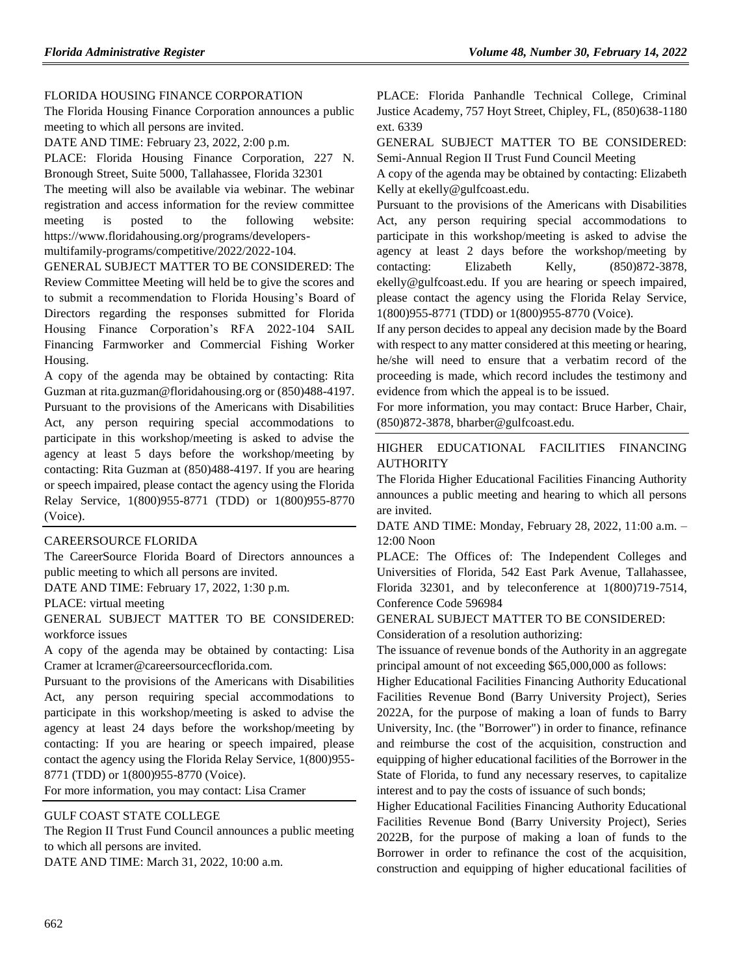# [FLORIDA HOUSING FINANCE CORPORATION](https://www.flrules.org/gateway/department.asp?id=67)

The Florida Housing Finance Corporation announces a public meeting to which all persons are invited.

DATE AND TIME: February 23, 2022, 2:00 p.m.

PLACE: Florida Housing Finance Corporation, 227 N. Bronough Street, Suite 5000, Tallahassee, Florida 32301

The meeting will also be available via webinar. The webinar registration and access information for the review committee meeting is posted to the following website: https://www.floridahousing.org/programs/developers-

multifamily-programs/competitive/2022/2022-104.

GENERAL SUBJECT MATTER TO BE CONSIDERED: The Review Committee Meeting will held be to give the scores and to submit a recommendation to Florida Housing's Board of Directors regarding the responses submitted for Florida Housing Finance Corporation's RFA 2022-104 SAIL Financing Farmworker and Commercial Fishing Worker Housing.

A copy of the agenda may be obtained by contacting: Rita Guzman at rita.guzman@floridahousing.org or (850)488-4197. Pursuant to the provisions of the Americans with Disabilities Act, any person requiring special accommodations to participate in this workshop/meeting is asked to advise the agency at least 5 days before the workshop/meeting by contacting: Rita Guzman at (850)488-4197. If you are hearing or speech impaired, please contact the agency using the Florida Relay Service, 1(800)955-8771 (TDD) or 1(800)955-8770 (Voice).

# [CAREERSOURCE FLORIDA](https://www.flrules.org/gateway/organization.asp?id=1173)

The CareerSource Florida Board of Directors announces a public meeting to which all persons are invited.

DATE AND TIME: February 17, 2022, 1:30 p.m.

PLACE: virtual meeting

GENERAL SUBJECT MATTER TO BE CONSIDERED: workforce issues

A copy of the agenda may be obtained by contacting: Lisa Cramer at lcramer@careersourcecflorida.com.

Pursuant to the provisions of the Americans with Disabilities Act, any person requiring special accommodations to participate in this workshop/meeting is asked to advise the agency at least 24 days before the workshop/meeting by contacting: If you are hearing or speech impaired, please contact the agency using the Florida Relay Service, 1(800)955- 8771 (TDD) or 1(800)955-8770 (Voice).

For more information, you may contact: Lisa Cramer

#### [GULF COAST STATE COLLEGE](https://www.flrules.org/gateway/organization.asp?id=1425)

The Region II Trust Fund Council announces a public meeting to which all persons are invited.

DATE AND TIME: March 31, 2022, 10:00 a.m.

PLACE: Florida Panhandle Technical College, Criminal Justice Academy, 757 Hoyt Street, Chipley, FL, (850)638-1180 ext. 6339

GENERAL SUBJECT MATTER TO BE CONSIDERED: Semi-Annual Region II Trust Fund Council Meeting

A copy of the agenda may be obtained by contacting: Elizabeth Kelly at ekelly@gulfcoast.edu.

Pursuant to the provisions of the Americans with Disabilities Act, any person requiring special accommodations to participate in this workshop/meeting is asked to advise the agency at least 2 days before the workshop/meeting by contacting: Elizabeth Kelly, (850)872-3878, ekelly@gulfcoast.edu. If you are hearing or speech impaired, please contact the agency using the Florida Relay Service, 1(800)955-8771 (TDD) or 1(800)955-8770 (Voice).

If any person decides to appeal any decision made by the Board with respect to any matter considered at this meeting or hearing, he/she will need to ensure that a verbatim record of the proceeding is made, which record includes the testimony and evidence from which the appeal is to be issued.

For more information, you may contact: Bruce Harber, Chair, (850)872-3878, bharber@gulfcoast.edu.

[HIGHER EDUCATIONAL FACILITIES FINANCING](https://www.flrules.org/gateway/organization.asp?id=1432)  [AUTHORITY](https://www.flrules.org/gateway/organization.asp?id=1432)

The Florida Higher Educational Facilities Financing Authority announces a public meeting and hearing to which all persons are invited.

DATE AND TIME: Monday, February 28, 2022, 11:00 a.m. – 12:00 Noon

PLACE: The Offices of: The Independent Colleges and Universities of Florida, 542 East Park Avenue, Tallahassee, Florida 32301, and by teleconference at 1(800)719-7514, Conference Code 596984

GENERAL SUBJECT MATTER TO BE CONSIDERED:

Consideration of a resolution authorizing:

The issuance of revenue bonds of the Authority in an aggregate principal amount of not exceeding \$65,000,000 as follows:

Higher Educational Facilities Financing Authority Educational Facilities Revenue Bond (Barry University Project), Series 2022A, for the purpose of making a loan of funds to Barry University, Inc. (the "Borrower") in order to finance, refinance and reimburse the cost of the acquisition, construction and equipping of higher educational facilities of the Borrower in the State of Florida, to fund any necessary reserves, to capitalize interest and to pay the costs of issuance of such bonds;

Higher Educational Facilities Financing Authority Educational Facilities Revenue Bond (Barry University Project), Series 2022B, for the purpose of making a loan of funds to the Borrower in order to refinance the cost of the acquisition, construction and equipping of higher educational facilities of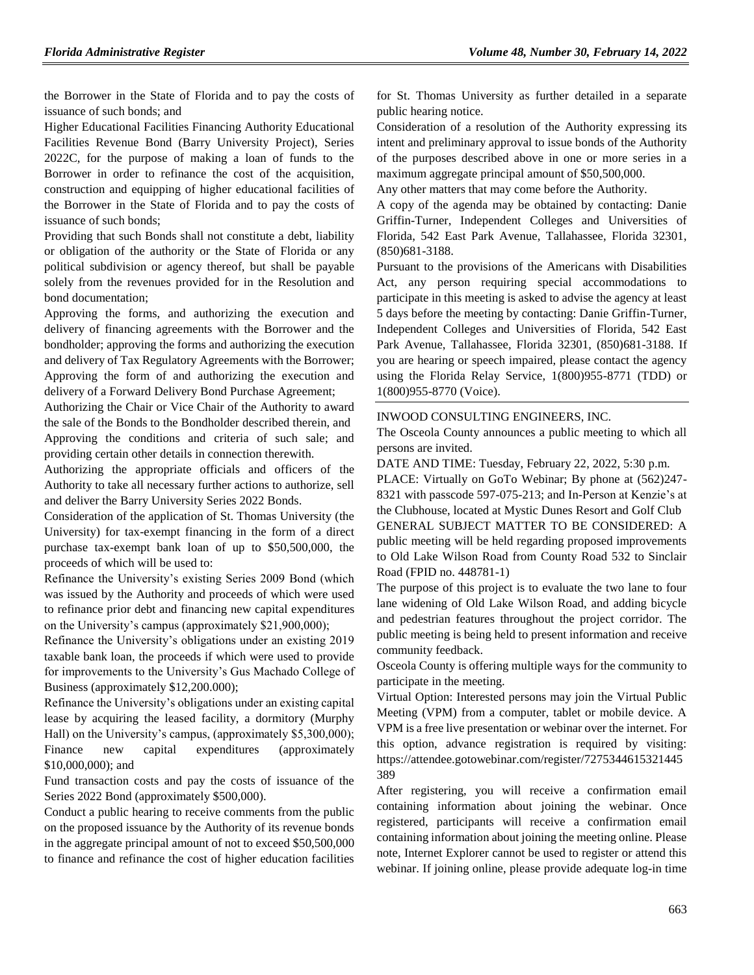the Borrower in the State of Florida and to pay the costs of issuance of such bonds; and

Higher Educational Facilities Financing Authority Educational Facilities Revenue Bond (Barry University Project), Series 2022C, for the purpose of making a loan of funds to the Borrower in order to refinance the cost of the acquisition, construction and equipping of higher educational facilities of the Borrower in the State of Florida and to pay the costs of issuance of such bonds;

Providing that such Bonds shall not constitute a debt, liability or obligation of the authority or the State of Florida or any political subdivision or agency thereof, but shall be payable solely from the revenues provided for in the Resolution and bond documentation;

Approving the forms, and authorizing the execution and delivery of financing agreements with the Borrower and the bondholder; approving the forms and authorizing the execution and delivery of Tax Regulatory Agreements with the Borrower; Approving the form of and authorizing the execution and delivery of a Forward Delivery Bond Purchase Agreement;

Authorizing the Chair or Vice Chair of the Authority to award the sale of the Bonds to the Bondholder described therein, and Approving the conditions and criteria of such sale; and providing certain other details in connection therewith.

Authorizing the appropriate officials and officers of the Authority to take all necessary further actions to authorize, sell and deliver the Barry University Series 2022 Bonds.

Consideration of the application of St. Thomas University (the University) for tax-exempt financing in the form of a direct purchase tax-exempt bank loan of up to \$50,500,000, the proceeds of which will be used to:

Refinance the University's existing Series 2009 Bond (which was issued by the Authority and proceeds of which were used to refinance prior debt and financing new capital expenditures on the University's campus (approximately \$21,900,000);

Refinance the University's obligations under an existing 2019 taxable bank loan, the proceeds if which were used to provide for improvements to the University's Gus Machado College of Business (approximately \$12,200.000);

Refinance the University's obligations under an existing capital lease by acquiring the leased facility, a dormitory (Murphy Hall) on the University's campus, (approximately \$5,300,000); Finance new capital expenditures (approximately \$10,000,000); and

Fund transaction costs and pay the costs of issuance of the Series 2022 Bond (approximately \$500,000).

Conduct a public hearing to receive comments from the public on the proposed issuance by the Authority of its revenue bonds in the aggregate principal amount of not to exceed \$50,500,000 to finance and refinance the cost of higher education facilities for St. Thomas University as further detailed in a separate public hearing notice.

Consideration of a resolution of the Authority expressing its intent and preliminary approval to issue bonds of the Authority of the purposes described above in one or more series in a maximum aggregate principal amount of \$50,500,000.

Any other matters that may come before the Authority.

A copy of the agenda may be obtained by contacting: Danie Griffin-Turner, Independent Colleges and Universities of Florida, 542 East Park Avenue, Tallahassee, Florida 32301, (850)681-3188.

Pursuant to the provisions of the Americans with Disabilities Act, any person requiring special accommodations to participate in this meeting is asked to advise the agency at least 5 days before the meeting by contacting: Danie Griffin-Turner, Independent Colleges and Universities of Florida, 542 East Park Avenue, Tallahassee, Florida 32301, (850)681-3188. If you are hearing or speech impaired, please contact the agency using the Florida Relay Service, 1(800)955-8771 (TDD) or 1(800)955-8770 (Voice).

#### [INWOOD CONSULTING ENGINEERS, INC.](https://www.flrules.org/gateway/organization.asp?id=992)

The Osceola County announces a public meeting to which all persons are invited.

DATE AND TIME: Tuesday, February 22, 2022, 5:30 p.m.

PLACE: Virtually on GoTo Webinar; By phone at (562)247- 8321 with passcode 597-075-213; and In-Person at Kenzie's at the Clubhouse, located at Mystic Dunes Resort and Golf Club GENERAL SUBJECT MATTER TO BE CONSIDERED: A public meeting will be held regarding proposed improvements to Old Lake Wilson Road from County Road 532 to Sinclair Road (FPID no. 448781-1)

The purpose of this project is to evaluate the two lane to four lane widening of Old Lake Wilson Road, and adding bicycle and pedestrian features throughout the project corridor. The public meeting is being held to present information and receive community feedback.

Osceola County is offering multiple ways for the community to participate in the meeting.

Virtual Option: Interested persons may join the Virtual Public Meeting (VPM) from a computer, tablet or mobile device. A VPM is a free live presentation or webinar over the internet. For this option, advance registration is required by visiting: https://attendee.gotowebinar.com/register/7275344615321445 389

After registering, you will receive a confirmation email containing information about joining the webinar. Once registered, participants will receive a confirmation email containing information about joining the meeting online. Please note, Internet Explorer cannot be used to register or attend this webinar. If joining online, please provide adequate log-in time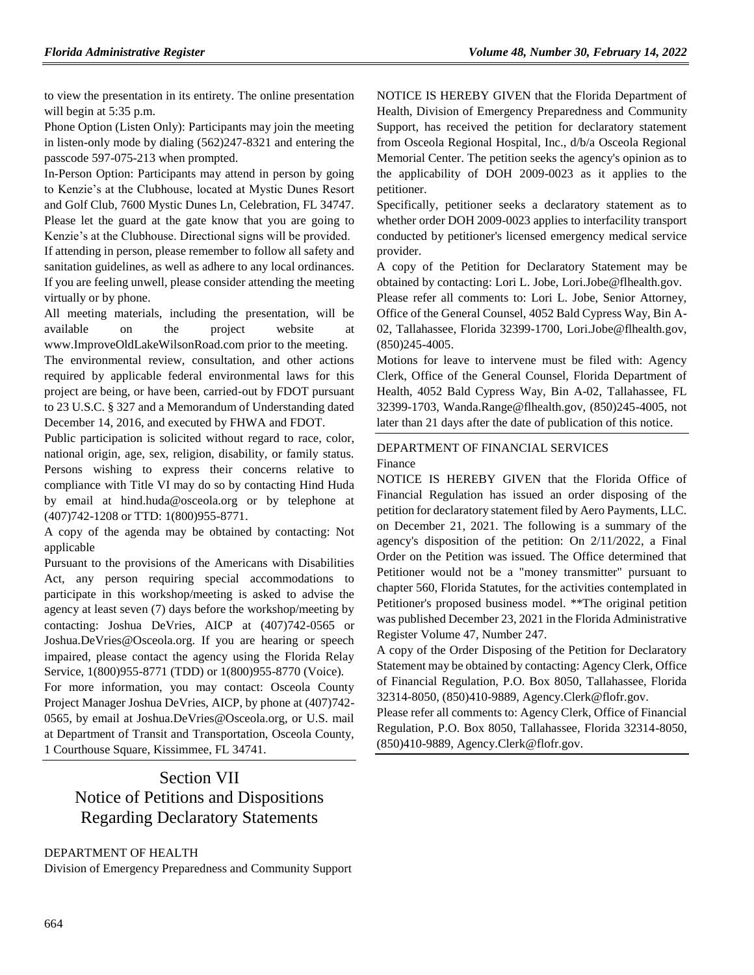to view the presentation in its entirety. The online presentation will begin at 5:35 p.m.

Phone Option (Listen Only): Participants may join the meeting in listen-only mode by dialing (562)247-8321 and entering the passcode 597-075-213 when prompted.

In-Person Option: Participants may attend in person by going to Kenzie's at the Clubhouse, located at Mystic Dunes Resort and Golf Club, 7600 Mystic Dunes Ln, Celebration, FL 34747. Please let the guard at the gate know that you are going to Kenzie's at the Clubhouse. Directional signs will be provided.

If attending in person, please remember to follow all safety and sanitation guidelines, as well as adhere to any local ordinances. If you are feeling unwell, please consider attending the meeting virtually or by phone.

All meeting materials, including the presentation, will be available on the project website at www.ImproveOldLakeWilsonRoad.com prior to the meeting.

The environmental review, consultation, and other actions required by applicable federal environmental laws for this project are being, or have been, carried-out by FDOT pursuant to 23 U.S.C. § 327 and a Memorandum of Understanding dated December 14, 2016, and executed by FHWA and FDOT.

Public participation is solicited without regard to race, color, national origin, age, sex, religion, disability, or family status. Persons wishing to express their concerns relative to compliance with Title VI may do so by contacting Hind Huda by email at hind.huda@osceola.org or by telephone at (407)742-1208 or TTD: 1(800)955-8771.

A copy of the agenda may be obtained by contacting: Not applicable

Pursuant to the provisions of the Americans with Disabilities Act, any person requiring special accommodations to participate in this workshop/meeting is asked to advise the agency at least seven (7) days before the workshop/meeting by contacting: Joshua DeVries, AICP at (407)742-0565 or Joshua.DeVries@Osceola.org. If you are hearing or speech impaired, please contact the agency using the Florida Relay Service, 1(800)955-8771 (TDD) or 1(800)955-8770 (Voice).

For more information, you may contact: Osceola County Project Manager Joshua DeVries, AICP, by phone at (407)742- 0565, by email at Joshua.DeVries@Osceola.org, or U.S. mail at Department of Transit and Transportation, Osceola County, 1 Courthouse Square, Kissimmee, FL 34741.

# Section VII Notice of Petitions and Dispositions Regarding Declaratory Statements

# [DEPARTMENT OF](https://www.flrules.org/gateway/department.asp?id=64) HEALTH

[Division of Emergency Preparedness and Community Support](https://www.flrules.org/gateway/organization.asp?id=832)

NOTICE IS HEREBY GIVEN that the Florida Department of Health, Division of Emergency Preparedness and Community Support, has received the petition for declaratory statement from Osceola Regional Hospital, Inc., d/b/a Osceola Regional Memorial Center. The petition seeks the agency's opinion as to the applicability of DOH 2009-0023 as it applies to the petitioner.

Specifically, petitioner seeks a declaratory statement as to whether order DOH 2009-0023 applies to interfacility transport conducted by petitioner's licensed emergency medical service provider.

A copy of the Petition for Declaratory Statement may be obtained by contacting: Lori L. Jobe, Lori.Jobe@flhealth.gov.

Please refer all comments to: Lori L. Jobe, Senior Attorney, Office of the General Counsel, 4052 Bald Cypress Way, Bin A-02, Tallahassee, Florida 32399-1700, Lori.Jobe@flhealth.gov, (850)245-4005.

Motions for leave to intervene must be filed with: Agency Clerk, Office of the General Counsel, Florida Department of Health, 4052 Bald Cypress Way, Bin A-02, Tallahassee, FL 32399-1703, Wanda.Range@flhealth.gov, (850)245-4005, not later than 21 days after the date of publication of this notice.

[DEPARTMENT OF FINANCIAL SERVICES](https://www.flrules.org/gateway/department.asp?id=69) [Finance](https://www.flrules.org/gateway/organization.asp?id=524)

NOTICE IS HEREBY GIVEN that the Florida Office of Financial Regulation has issued an order disposing of the petition for declaratory statement filed by Aero Payments, LLC. on December 21, 2021. The following is a summary of the agency's disposition of the petition: On 2/11/2022, a Final Order on the Petition was issued. The Office determined that Petitioner would not be a "money transmitter" pursuant to chapter 560, Florida Statutes, for the activities contemplated in Petitioner's proposed business model. \*\*The original petition was published December 23, 2021 in the Florida Administrative Register Volume 47, Number 247.

A copy of the Order Disposing of the Petition for Declaratory Statement may be obtained by contacting: Agency Clerk, Office of Financial Regulation, P.O. Box 8050, Tallahassee, Florida 32314-8050, (850)410-9889, Agency.Clerk@flofr.gov.

Please refer all comments to: Agency Clerk, Office of Financial Regulation, P.O. Box 8050, Tallahassee, Florida 32314-8050, (850)410-9889, Agency.Clerk@flofr.gov.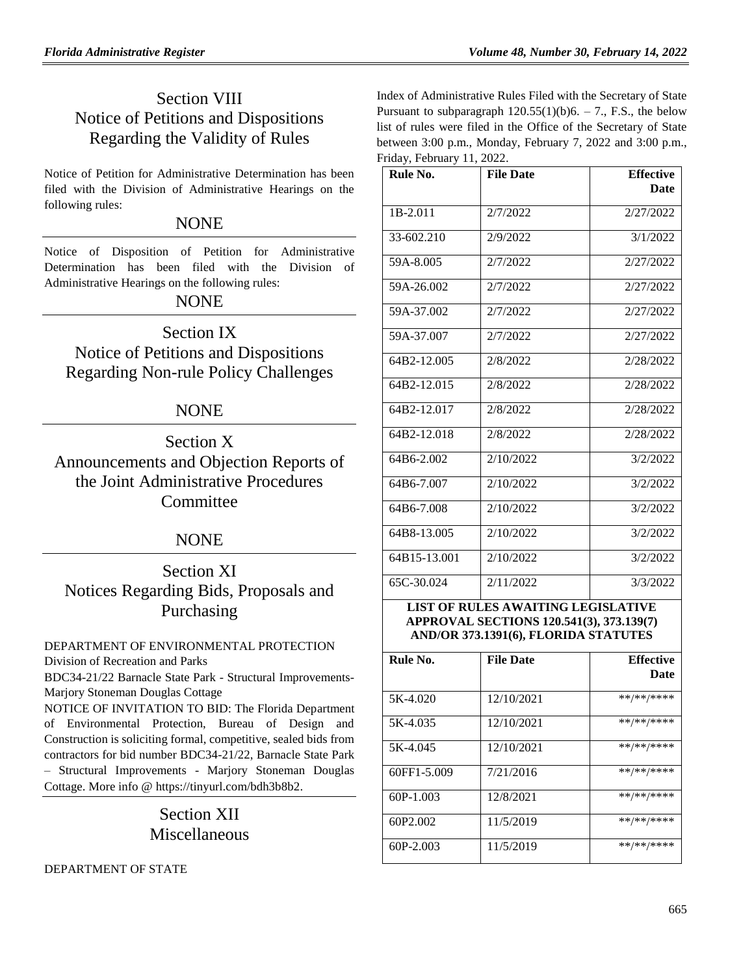# Section VIII Notice of Petitions and Dispositions Regarding the Validity of Rules

Notice of Petition for Administrative Determination has been filed with the Division of Administrative Hearings on the following rules:

# **NONE**

Notice of Disposition of Petition for Administrative Determination has been filed with the Division of Administrative Hearings on the following rules:

# NONE

Section IX Notice of Petitions and Dispositions Regarding Non-rule Policy Challenges

# NONE

Section X Announcements and Objection Reports of the Joint Administrative Procedures **Committee** 

# NONE

Section XI Notices Regarding Bids, Proposals and Purchasing

# [DEPARTMENT OF ENVIRONMENTAL PROTECTION](https://www.flrules.org/gateway/department.asp?id=62)

[Division of Recreation and Parks](https://www.flrules.org/gateway/organization.asp?id=290)

BDC34-21/22 Barnacle State Park - Structural Improvements-Marjory Stoneman Douglas Cottage

NOTICE OF INVITATION TO BID: The Florida Department of Environmental Protection, Bureau of Design and Construction is soliciting formal, competitive, sealed bids from contractors for bid number BDC34-21/22, Barnacle State Park – Structural Improvements - Marjory Stoneman Douglas Cottage. More info @ [https://tinyurl.com/bdh3b8b2.](https://tinyurl.com/bdh3b8b2)

# Section XII Miscellaneous

[DEPARTMENT OF STATE](https://www.flrules.org/gateway/department.asp?id=1)

Index of Administrative Rules Filed with the Secretary of State Pursuant to subparagraph  $120.55(1)(b)6. - 7.$ , F.S., the below list of rules were filed in the Office of the Secretary of State between 3:00 p.m., Monday, February 7, 2022 and 3:00 p.m., Friday, February 11, 2022.

| Rule No.       | <b>File Date</b> | <b>Effective</b><br><b>Date</b> |
|----------------|------------------|---------------------------------|
| $1B-2.011$     | 2/7/2022         | 2/27/2022                       |
| $33 - 602.210$ | 2/9/2022         | 3/1/2022                        |
| 59A-8.005      | 2/7/2022         | 2/27/2022                       |
| 59A-26.002     | 2/7/2022         | 2/27/2022                       |
| 59A-37.002     | 2/7/2022         | 2/27/2022                       |
| 59A-37.007     | 2/7/2022         | 2/27/2022                       |
| 64B2-12.005    | 2/8/2022         | 2/28/2022                       |
| 64B2-12.015    | 2/8/2022         | 2/28/2022                       |
| 64B2-12.017    | 2/8/2022         | 2/28/2022                       |
| 64B2-12.018    | 2/8/2022         | 2/28/2022                       |
| 64B6-2.002     | 2/10/2022        | 3/2/2022                        |
| 64B6-7.007     | 2/10/2022        | 3/2/2022                        |
| 64B6-7.008     | 2/10/2022        | 3/2/2022                        |
| 64B8-13.005    | 2/10/2022        | 3/2/2022                        |
| 64B15-13.001   | 2/10/2022        | 3/2/2022                        |
| 65C-30.024     | 2/11/2022        | 3/3/2022                        |

# **LIST OF RULES AWAITING LEGISLATIVE APPROVAL SECTIONS 120.541(3), 373.139(7) AND/OR 373.1391(6), FLORIDA STATUTES**

| Rule No.             | <b>File Date</b> | <b>Effective</b><br>Date |
|----------------------|------------------|--------------------------|
| 5K-4.020             | 12/10/2021       | **/**/****               |
| 5K-4.035             | 12/10/2021       | **/**/****               |
| 5K-4.045             | 12/10/2021       | **/**/****               |
| 60FF1-5.009          | 7/21/2016        | **/**/****               |
| $60P-1.003$          | 12/8/2021        | **/**/****               |
| 60P <sub>2.002</sub> | 11/5/2019        | **/**/****               |
| $60P-2.003$          | 11/5/2019        | **/**/****               |